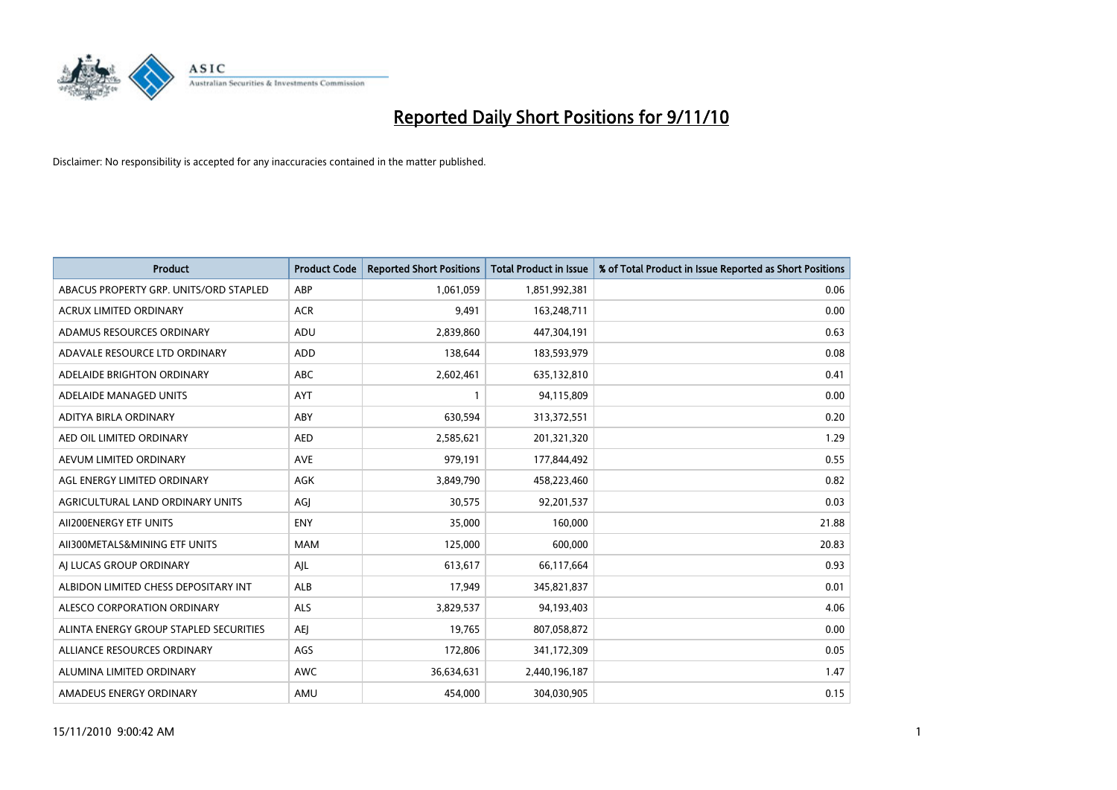

| <b>Product</b>                         | <b>Product Code</b> | <b>Reported Short Positions</b> | <b>Total Product in Issue</b> | % of Total Product in Issue Reported as Short Positions |
|----------------------------------------|---------------------|---------------------------------|-------------------------------|---------------------------------------------------------|
| ABACUS PROPERTY GRP. UNITS/ORD STAPLED | ABP                 | 1,061,059                       | 1,851,992,381                 | 0.06                                                    |
| ACRUX LIMITED ORDINARY                 | <b>ACR</b>          | 9,491                           | 163,248,711                   | 0.00                                                    |
| ADAMUS RESOURCES ORDINARY              | ADU                 | 2,839,860                       | 447,304,191                   | 0.63                                                    |
| ADAVALE RESOURCE LTD ORDINARY          | ADD                 | 138,644                         | 183,593,979                   | 0.08                                                    |
| ADELAIDE BRIGHTON ORDINARY             | <b>ABC</b>          | 2,602,461                       | 635,132,810                   | 0.41                                                    |
| ADELAIDE MANAGED UNITS                 | <b>AYT</b>          |                                 | 94,115,809                    | 0.00                                                    |
| ADITYA BIRLA ORDINARY                  | ABY                 | 630,594                         | 313,372,551                   | 0.20                                                    |
| AED OIL LIMITED ORDINARY               | <b>AED</b>          | 2,585,621                       | 201,321,320                   | 1.29                                                    |
| AEVUM LIMITED ORDINARY                 | <b>AVE</b>          | 979,191                         | 177,844,492                   | 0.55                                                    |
| AGL ENERGY LIMITED ORDINARY            | <b>AGK</b>          | 3,849,790                       | 458,223,460                   | 0.82                                                    |
| AGRICULTURAL LAND ORDINARY UNITS       | AGJ                 | 30,575                          | 92,201,537                    | 0.03                                                    |
| AII200ENERGY ETF UNITS                 | <b>ENY</b>          | 35,000                          | 160,000                       | 21.88                                                   |
| AII300METALS&MINING ETF UNITS          | <b>MAM</b>          | 125,000                         | 600,000                       | 20.83                                                   |
| AI LUCAS GROUP ORDINARY                | AJL                 | 613,617                         | 66,117,664                    | 0.93                                                    |
| ALBIDON LIMITED CHESS DEPOSITARY INT   | <b>ALB</b>          | 17,949                          | 345,821,837                   | 0.01                                                    |
| ALESCO CORPORATION ORDINARY            | ALS                 | 3,829,537                       | 94,193,403                    | 4.06                                                    |
| ALINTA ENERGY GROUP STAPLED SECURITIES | <b>AEI</b>          | 19,765                          | 807,058,872                   | 0.00                                                    |
| ALLIANCE RESOURCES ORDINARY            | AGS                 | 172,806                         | 341,172,309                   | 0.05                                                    |
| ALUMINA LIMITED ORDINARY               | <b>AWC</b>          | 36,634,631                      | 2,440,196,187                 | 1.47                                                    |
| AMADEUS ENERGY ORDINARY                | AMU                 | 454.000                         | 304,030,905                   | 0.15                                                    |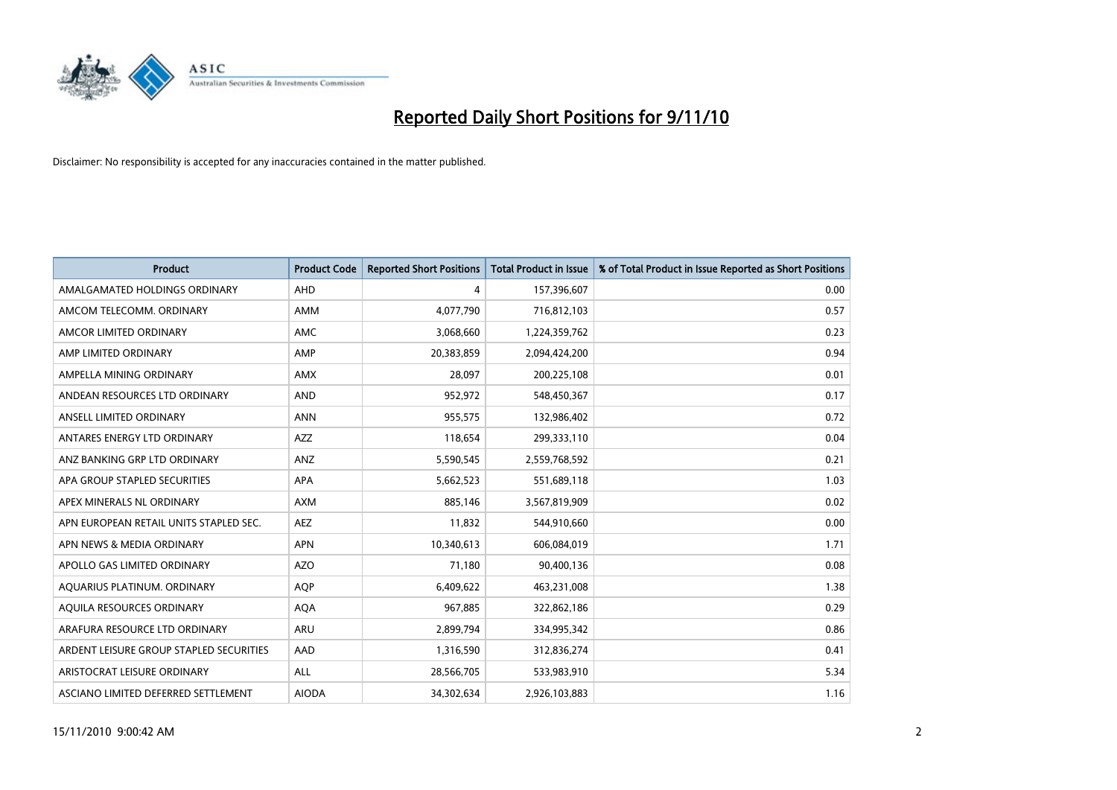

| <b>Product</b>                          | <b>Product Code</b> | <b>Reported Short Positions</b> | <b>Total Product in Issue</b> | % of Total Product in Issue Reported as Short Positions |
|-----------------------------------------|---------------------|---------------------------------|-------------------------------|---------------------------------------------------------|
| AMALGAMATED HOLDINGS ORDINARY           | AHD                 | 4                               | 157,396,607                   | 0.00                                                    |
| AMCOM TELECOMM. ORDINARY                | <b>AMM</b>          | 4,077,790                       | 716,812,103                   | 0.57                                                    |
| AMCOR LIMITED ORDINARY                  | AMC                 | 3,068,660                       | 1,224,359,762                 | 0.23                                                    |
| AMP LIMITED ORDINARY                    | AMP                 | 20,383,859                      | 2,094,424,200                 | 0.94                                                    |
| AMPELLA MINING ORDINARY                 | <b>AMX</b>          | 28,097                          | 200,225,108                   | 0.01                                                    |
| ANDEAN RESOURCES LTD ORDINARY           | <b>AND</b>          | 952,972                         | 548,450,367                   | 0.17                                                    |
| ANSELL LIMITED ORDINARY                 | <b>ANN</b>          | 955,575                         | 132,986,402                   | 0.72                                                    |
| ANTARES ENERGY LTD ORDINARY             | <b>AZZ</b>          | 118,654                         | 299,333,110                   | 0.04                                                    |
| ANZ BANKING GRP LTD ORDINARY            | <b>ANZ</b>          | 5,590,545                       | 2,559,768,592                 | 0.21                                                    |
| APA GROUP STAPLED SECURITIES            | <b>APA</b>          | 5,662,523                       | 551,689,118                   | 1.03                                                    |
| APEX MINERALS NL ORDINARY               | <b>AXM</b>          | 885.146                         | 3,567,819,909                 | 0.02                                                    |
| APN EUROPEAN RETAIL UNITS STAPLED SEC.  | <b>AEZ</b>          | 11,832                          | 544,910,660                   | 0.00                                                    |
| APN NEWS & MEDIA ORDINARY               | <b>APN</b>          | 10,340,613                      | 606,084,019                   | 1.71                                                    |
| APOLLO GAS LIMITED ORDINARY             | <b>AZO</b>          | 71,180                          | 90,400,136                    | 0.08                                                    |
| AQUARIUS PLATINUM. ORDINARY             | <b>AOP</b>          | 6,409,622                       | 463,231,008                   | 1.38                                                    |
| AQUILA RESOURCES ORDINARY               | <b>AQA</b>          | 967,885                         | 322,862,186                   | 0.29                                                    |
| ARAFURA RESOURCE LTD ORDINARY           | ARU                 | 2,899,794                       | 334,995,342                   | 0.86                                                    |
| ARDENT LEISURE GROUP STAPLED SECURITIES | AAD                 | 1,316,590                       | 312,836,274                   | 0.41                                                    |
| ARISTOCRAT LEISURE ORDINARY             | <b>ALL</b>          | 28,566,705                      | 533,983,910                   | 5.34                                                    |
| ASCIANO LIMITED DEFERRED SETTLEMENT     | <b>AIODA</b>        | 34,302,634                      | 2,926,103,883                 | 1.16                                                    |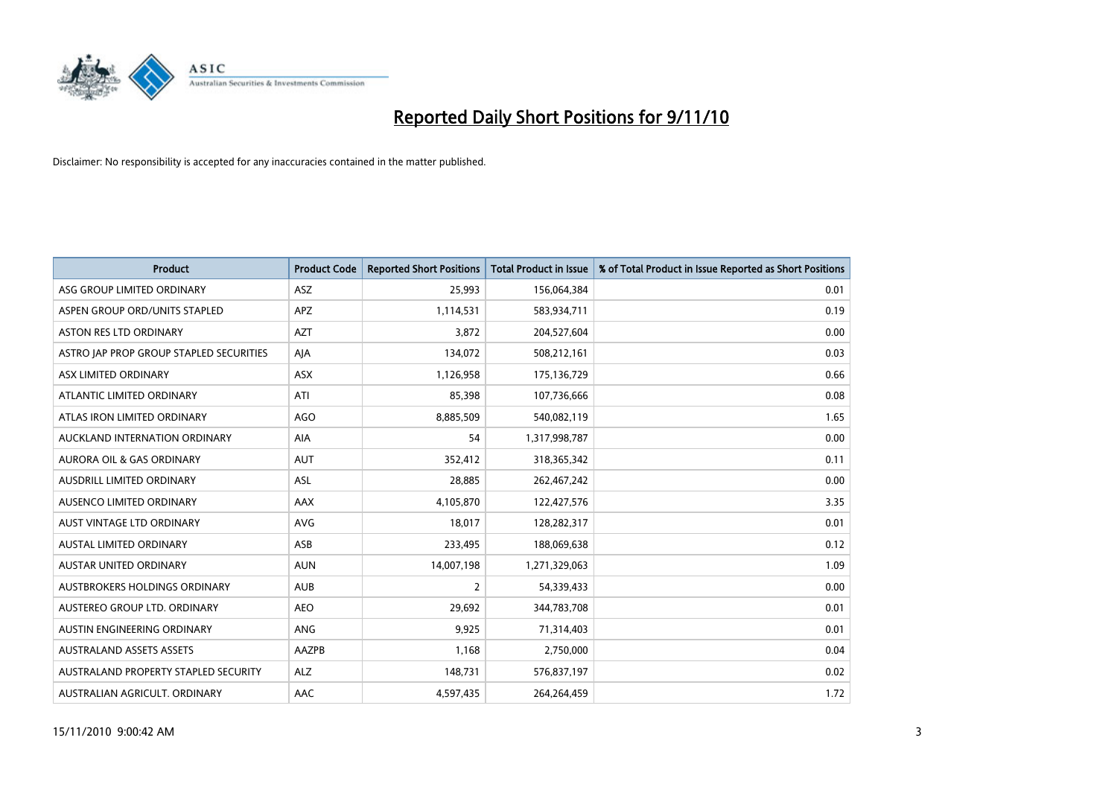

| <b>Product</b>                          | <b>Product Code</b> | <b>Reported Short Positions</b> | <b>Total Product in Issue</b> | % of Total Product in Issue Reported as Short Positions |
|-----------------------------------------|---------------------|---------------------------------|-------------------------------|---------------------------------------------------------|
| ASG GROUP LIMITED ORDINARY              | ASZ                 | 25,993                          | 156,064,384                   | 0.01                                                    |
| ASPEN GROUP ORD/UNITS STAPLED           | <b>APZ</b>          | 1,114,531                       | 583,934,711                   | 0.19                                                    |
| <b>ASTON RES LTD ORDINARY</b>           | <b>AZT</b>          | 3,872                           | 204,527,604                   | 0.00                                                    |
| ASTRO JAP PROP GROUP STAPLED SECURITIES | AJA                 | 134,072                         | 508,212,161                   | 0.03                                                    |
| ASX LIMITED ORDINARY                    | <b>ASX</b>          | 1,126,958                       | 175,136,729                   | 0.66                                                    |
| ATLANTIC LIMITED ORDINARY               | ATI                 | 85,398                          | 107,736,666                   | 0.08                                                    |
| ATLAS IRON LIMITED ORDINARY             | <b>AGO</b>          | 8,885,509                       | 540,082,119                   | 1.65                                                    |
| AUCKLAND INTERNATION ORDINARY           | AIA                 | 54                              | 1,317,998,787                 | 0.00                                                    |
| AURORA OIL & GAS ORDINARY               | <b>AUT</b>          | 352,412                         | 318, 365, 342                 | 0.11                                                    |
| AUSDRILL LIMITED ORDINARY               | <b>ASL</b>          | 28,885                          | 262,467,242                   | 0.00                                                    |
| AUSENCO LIMITED ORDINARY                | AAX                 | 4,105,870                       | 122,427,576                   | 3.35                                                    |
| <b>AUST VINTAGE LTD ORDINARY</b>        | <b>AVG</b>          | 18,017                          | 128,282,317                   | 0.01                                                    |
| <b>AUSTAL LIMITED ORDINARY</b>          | ASB                 | 233,495                         | 188,069,638                   | 0.12                                                    |
| <b>AUSTAR UNITED ORDINARY</b>           | <b>AUN</b>          | 14,007,198                      | 1,271,329,063                 | 1.09                                                    |
| <b>AUSTBROKERS HOLDINGS ORDINARY</b>    | <b>AUB</b>          | $\overline{2}$                  | 54,339,433                    | 0.00                                                    |
| AUSTEREO GROUP LTD. ORDINARY            | <b>AEO</b>          | 29,692                          | 344,783,708                   | 0.01                                                    |
| AUSTIN ENGINEERING ORDINARY             | ANG                 | 9,925                           | 71,314,403                    | 0.01                                                    |
| <b>AUSTRALAND ASSETS ASSETS</b>         | AAZPB               | 1,168                           | 2,750,000                     | 0.04                                                    |
| AUSTRALAND PROPERTY STAPLED SECURITY    | <b>ALZ</b>          | 148,731                         | 576,837,197                   | 0.02                                                    |
| AUSTRALIAN AGRICULT, ORDINARY           | AAC                 | 4,597,435                       | 264.264.459                   | 1.72                                                    |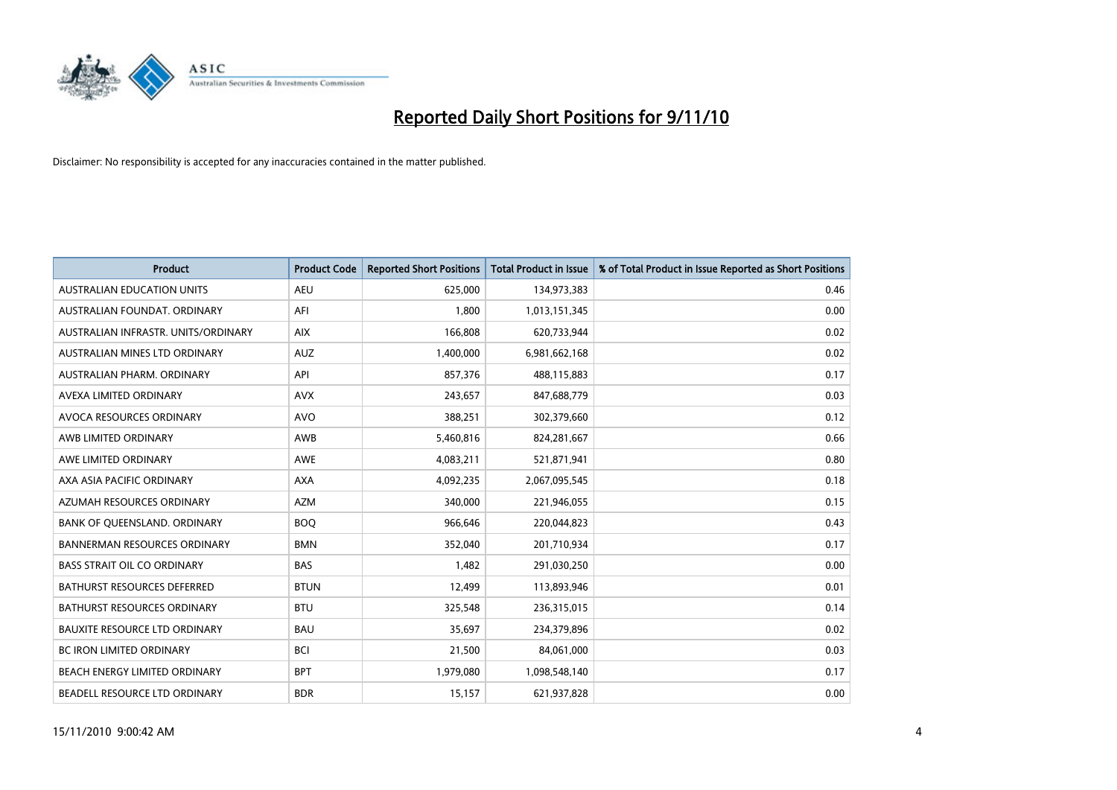

| <b>Product</b>                       | <b>Product Code</b> | <b>Reported Short Positions</b> | <b>Total Product in Issue</b> | % of Total Product in Issue Reported as Short Positions |
|--------------------------------------|---------------------|---------------------------------|-------------------------------|---------------------------------------------------------|
| <b>AUSTRALIAN EDUCATION UNITS</b>    | <b>AEU</b>          | 625,000                         | 134,973,383                   | 0.46                                                    |
| AUSTRALIAN FOUNDAT, ORDINARY         | AFI                 | 1,800                           | 1,013,151,345                 | 0.00                                                    |
| AUSTRALIAN INFRASTR, UNITS/ORDINARY  | <b>AIX</b>          | 166,808                         | 620,733,944                   | 0.02                                                    |
| AUSTRALIAN MINES LTD ORDINARY        | <b>AUZ</b>          | 1,400,000                       | 6,981,662,168                 | 0.02                                                    |
| AUSTRALIAN PHARM, ORDINARY           | API                 | 857,376                         | 488,115,883                   | 0.17                                                    |
| AVEXA LIMITED ORDINARY               | <b>AVX</b>          | 243,657                         | 847,688,779                   | 0.03                                                    |
| AVOCA RESOURCES ORDINARY             | <b>AVO</b>          | 388,251                         | 302,379,660                   | 0.12                                                    |
| AWB LIMITED ORDINARY                 | AWB                 | 5,460,816                       | 824,281,667                   | 0.66                                                    |
| AWE LIMITED ORDINARY                 | <b>AWE</b>          | 4,083,211                       | 521,871,941                   | 0.80                                                    |
| AXA ASIA PACIFIC ORDINARY            | <b>AXA</b>          | 4,092,235                       | 2,067,095,545                 | 0.18                                                    |
| AZUMAH RESOURCES ORDINARY            | <b>AZM</b>          | 340,000                         | 221,946,055                   | 0.15                                                    |
| BANK OF QUEENSLAND. ORDINARY         | <b>BOO</b>          | 966,646                         | 220,044,823                   | 0.43                                                    |
| <b>BANNERMAN RESOURCES ORDINARY</b>  | <b>BMN</b>          | 352.040                         | 201,710,934                   | 0.17                                                    |
| <b>BASS STRAIT OIL CO ORDINARY</b>   | <b>BAS</b>          | 1,482                           | 291,030,250                   | 0.00                                                    |
| BATHURST RESOURCES DEFERRED          | <b>BTUN</b>         | 12,499                          | 113,893,946                   | 0.01                                                    |
| <b>BATHURST RESOURCES ORDINARY</b>   | <b>BTU</b>          | 325,548                         | 236,315,015                   | 0.14                                                    |
| <b>BAUXITE RESOURCE LTD ORDINARY</b> | <b>BAU</b>          | 35,697                          | 234,379,896                   | 0.02                                                    |
| <b>BC IRON LIMITED ORDINARY</b>      | <b>BCI</b>          | 21,500                          | 84,061,000                    | 0.03                                                    |
| BEACH ENERGY LIMITED ORDINARY        | <b>BPT</b>          | 1,979,080                       | 1,098,548,140                 | 0.17                                                    |
| BEADELL RESOURCE LTD ORDINARY        | <b>BDR</b>          | 15,157                          | 621,937,828                   | 0.00                                                    |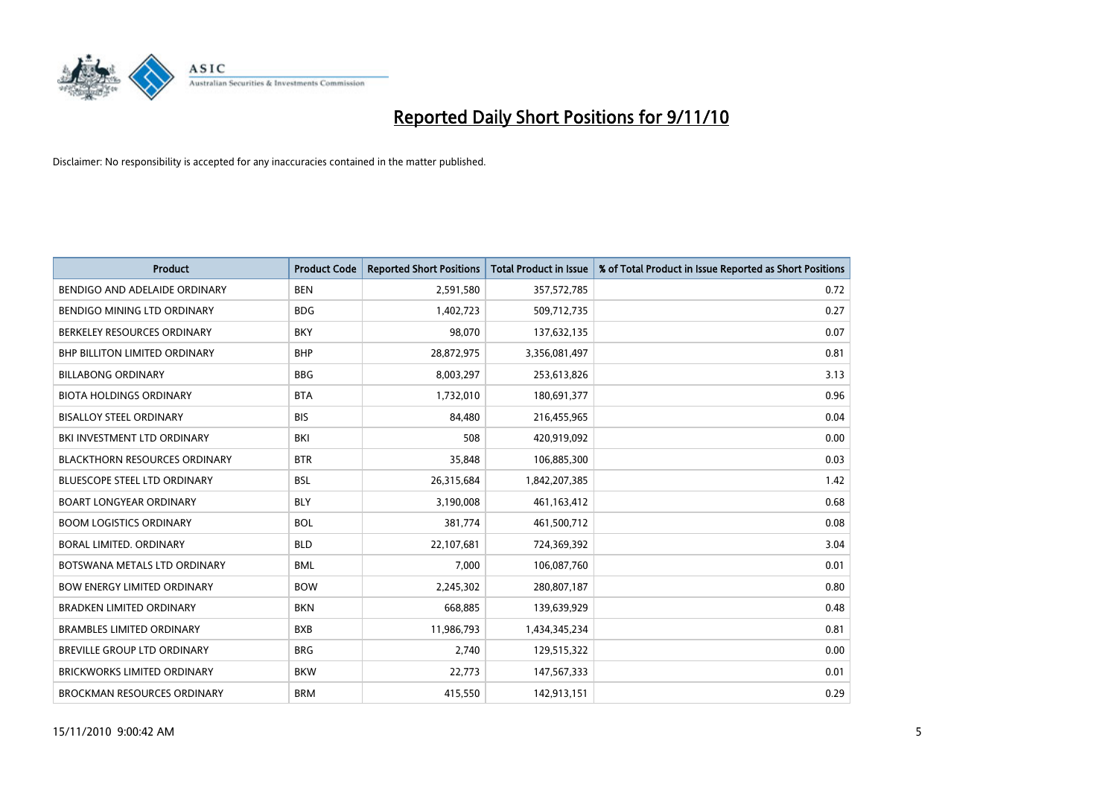

| <b>Product</b>                       | <b>Product Code</b> | <b>Reported Short Positions</b> | <b>Total Product in Issue</b> | % of Total Product in Issue Reported as Short Positions |
|--------------------------------------|---------------------|---------------------------------|-------------------------------|---------------------------------------------------------|
| BENDIGO AND ADELAIDE ORDINARY        | <b>BEN</b>          | 2,591,580                       | 357,572,785                   | 0.72                                                    |
| BENDIGO MINING LTD ORDINARY          | <b>BDG</b>          | 1,402,723                       | 509,712,735                   | 0.27                                                    |
| BERKELEY RESOURCES ORDINARY          | <b>BKY</b>          | 98,070                          | 137,632,135                   | 0.07                                                    |
| <b>BHP BILLITON LIMITED ORDINARY</b> | <b>BHP</b>          | 28,872,975                      | 3,356,081,497                 | 0.81                                                    |
| <b>BILLABONG ORDINARY</b>            | <b>BBG</b>          | 8,003,297                       | 253,613,826                   | 3.13                                                    |
| <b>BIOTA HOLDINGS ORDINARY</b>       | <b>BTA</b>          | 1,732,010                       | 180,691,377                   | 0.96                                                    |
| <b>BISALLOY STEEL ORDINARY</b>       | <b>BIS</b>          | 84.480                          | 216,455,965                   | 0.04                                                    |
| BKI INVESTMENT LTD ORDINARY          | <b>BKI</b>          | 508                             | 420,919,092                   | 0.00                                                    |
| <b>BLACKTHORN RESOURCES ORDINARY</b> | <b>BTR</b>          | 35,848                          | 106,885,300                   | 0.03                                                    |
| <b>BLUESCOPE STEEL LTD ORDINARY</b>  | <b>BSL</b>          | 26,315,684                      | 1,842,207,385                 | 1.42                                                    |
| <b>BOART LONGYEAR ORDINARY</b>       | <b>BLY</b>          | 3,190,008                       | 461,163,412                   | 0.68                                                    |
| <b>BOOM LOGISTICS ORDINARY</b>       | <b>BOL</b>          | 381,774                         | 461,500,712                   | 0.08                                                    |
| <b>BORAL LIMITED, ORDINARY</b>       | <b>BLD</b>          | 22,107,681                      | 724,369,392                   | 3.04                                                    |
| BOTSWANA METALS LTD ORDINARY         | <b>BML</b>          | 7,000                           | 106,087,760                   | 0.01                                                    |
| <b>BOW ENERGY LIMITED ORDINARY</b>   | <b>BOW</b>          | 2,245,302                       | 280,807,187                   | 0.80                                                    |
| <b>BRADKEN LIMITED ORDINARY</b>      | <b>BKN</b>          | 668,885                         | 139,639,929                   | 0.48                                                    |
| <b>BRAMBLES LIMITED ORDINARY</b>     | <b>BXB</b>          | 11,986,793                      | 1,434,345,234                 | 0.81                                                    |
| BREVILLE GROUP LTD ORDINARY          | <b>BRG</b>          | 2,740                           | 129,515,322                   | 0.00                                                    |
| <b>BRICKWORKS LIMITED ORDINARY</b>   | <b>BKW</b>          | 22,773                          | 147,567,333                   | 0.01                                                    |
| <b>BROCKMAN RESOURCES ORDINARY</b>   | <b>BRM</b>          | 415,550                         | 142,913,151                   | 0.29                                                    |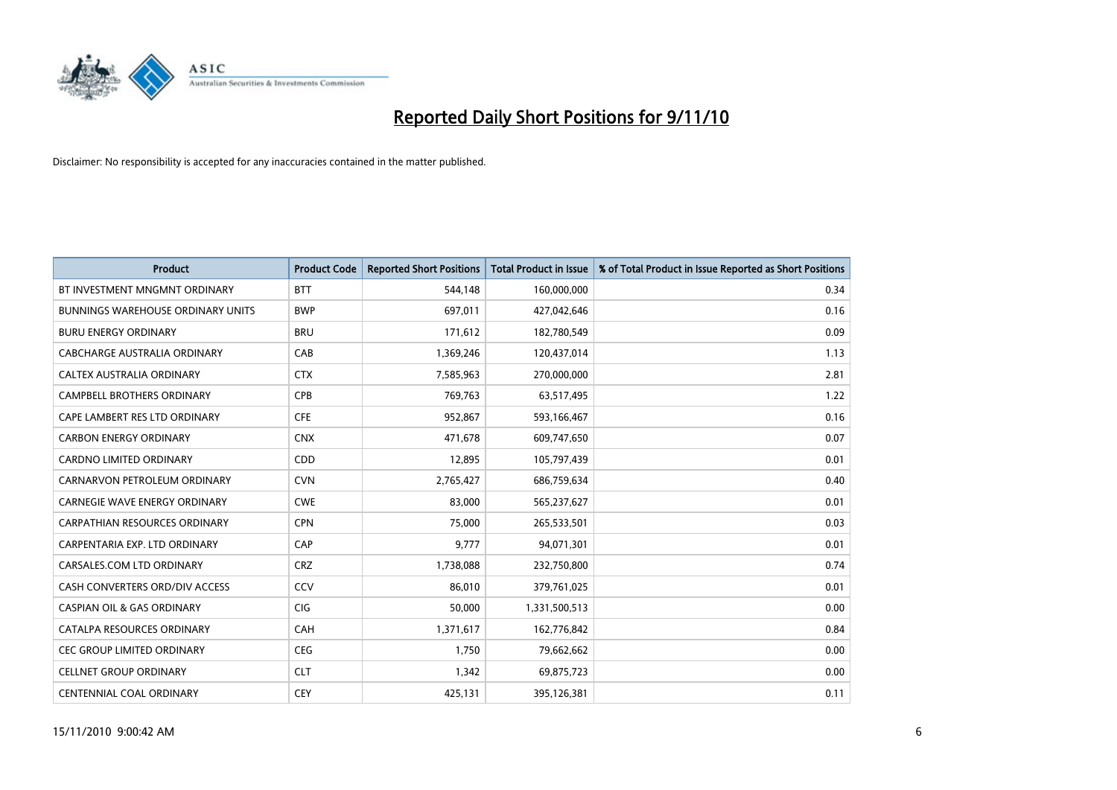

| <b>Product</b>                        | <b>Product Code</b> | <b>Reported Short Positions</b> | <b>Total Product in Issue</b> | % of Total Product in Issue Reported as Short Positions |
|---------------------------------------|---------------------|---------------------------------|-------------------------------|---------------------------------------------------------|
| BT INVESTMENT MNGMNT ORDINARY         | <b>BTT</b>          | 544,148                         | 160,000,000                   | 0.34                                                    |
| BUNNINGS WAREHOUSE ORDINARY UNITS     | <b>BWP</b>          | 697,011                         | 427,042,646                   | 0.16                                                    |
| <b>BURU ENERGY ORDINARY</b>           | <b>BRU</b>          | 171,612                         | 182,780,549                   | 0.09                                                    |
| CABCHARGE AUSTRALIA ORDINARY          | CAB                 | 1,369,246                       | 120,437,014                   | 1.13                                                    |
| CALTEX AUSTRALIA ORDINARY             | <b>CTX</b>          | 7,585,963                       | 270,000,000                   | 2.81                                                    |
| CAMPBELL BROTHERS ORDINARY            | <b>CPB</b>          | 769,763                         | 63,517,495                    | 1.22                                                    |
| CAPE LAMBERT RES LTD ORDINARY         | <b>CFE</b>          | 952.867                         | 593,166,467                   | 0.16                                                    |
| <b>CARBON ENERGY ORDINARY</b>         | <b>CNX</b>          | 471,678                         | 609,747,650                   | 0.07                                                    |
| CARDNO LIMITED ORDINARY               | CDD                 | 12,895                          | 105,797,439                   | 0.01                                                    |
| CARNARVON PETROLEUM ORDINARY          | <b>CVN</b>          | 2,765,427                       | 686,759,634                   | 0.40                                                    |
| CARNEGIE WAVE ENERGY ORDINARY         | <b>CWE</b>          | 83,000                          | 565,237,627                   | 0.01                                                    |
| <b>CARPATHIAN RESOURCES ORDINARY</b>  | <b>CPN</b>          | 75,000                          | 265,533,501                   | 0.03                                                    |
| CARPENTARIA EXP. LTD ORDINARY         | CAP                 | 9,777                           | 94,071,301                    | 0.01                                                    |
| CARSALES.COM LTD ORDINARY             | <b>CRZ</b>          | 1,738,088                       | 232,750,800                   | 0.74                                                    |
| CASH CONVERTERS ORD/DIV ACCESS        | CCV                 | 86,010                          | 379,761,025                   | 0.01                                                    |
| <b>CASPIAN OIL &amp; GAS ORDINARY</b> | CIG                 | 50,000                          | 1,331,500,513                 | 0.00                                                    |
| CATALPA RESOURCES ORDINARY            | <b>CAH</b>          | 1,371,617                       | 162,776,842                   | 0.84                                                    |
| CEC GROUP LIMITED ORDINARY            | <b>CEG</b>          | 1,750                           | 79,662,662                    | 0.00                                                    |
| <b>CELLNET GROUP ORDINARY</b>         | <b>CLT</b>          | 1,342                           | 69,875,723                    | 0.00                                                    |
| <b>CENTENNIAL COAL ORDINARY</b>       | <b>CEY</b>          | 425.131                         | 395,126,381                   | 0.11                                                    |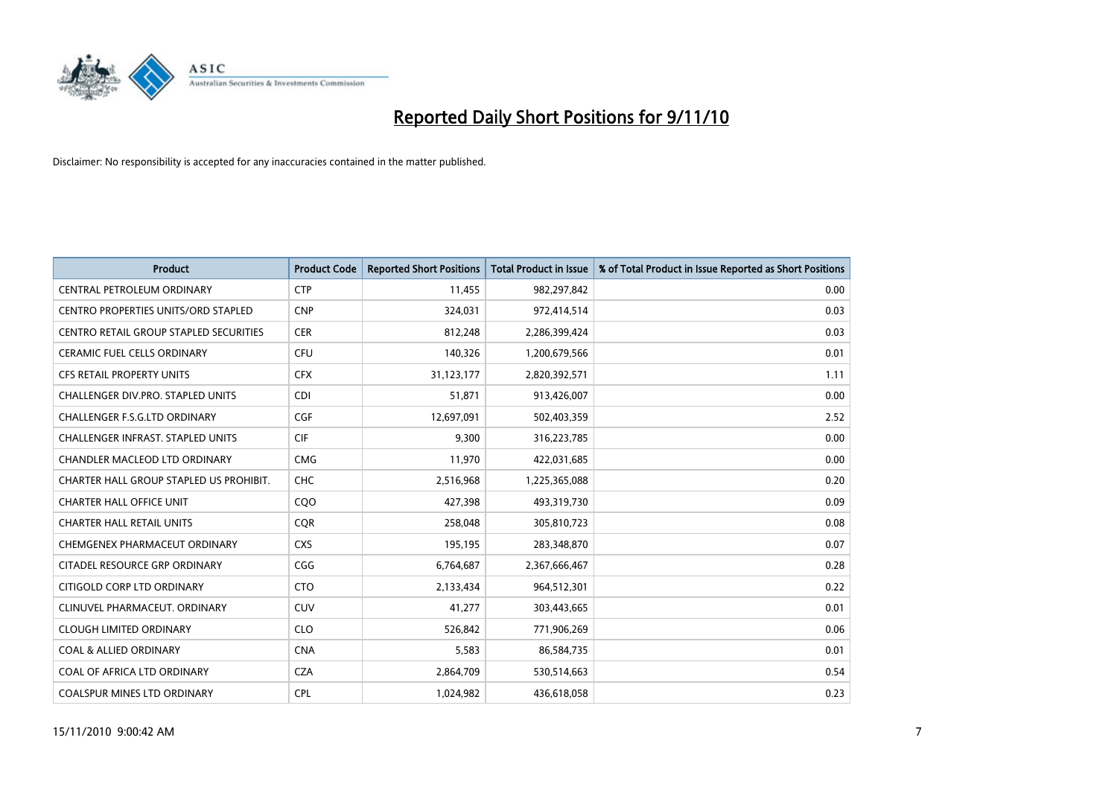

| <b>Product</b>                             | <b>Product Code</b> | <b>Reported Short Positions</b> | Total Product in Issue | % of Total Product in Issue Reported as Short Positions |
|--------------------------------------------|---------------------|---------------------------------|------------------------|---------------------------------------------------------|
| CENTRAL PETROLEUM ORDINARY                 | <b>CTP</b>          | 11,455                          | 982,297,842            | 0.00                                                    |
| <b>CENTRO PROPERTIES UNITS/ORD STAPLED</b> | <b>CNP</b>          | 324,031                         | 972,414,514            | 0.03                                                    |
| CENTRO RETAIL GROUP STAPLED SECURITIES     | <b>CER</b>          | 812,248                         | 2,286,399,424          | 0.03                                                    |
| CERAMIC FUEL CELLS ORDINARY                | <b>CFU</b>          | 140,326                         | 1,200,679,566          | 0.01                                                    |
| <b>CFS RETAIL PROPERTY UNITS</b>           | <b>CFX</b>          | 31,123,177                      | 2,820,392,571          | 1.11                                                    |
| <b>CHALLENGER DIV.PRO. STAPLED UNITS</b>   | <b>CDI</b>          | 51,871                          | 913,426,007            | 0.00                                                    |
| <b>CHALLENGER F.S.G.LTD ORDINARY</b>       | CGF                 | 12,697,091                      | 502,403,359            | 2.52                                                    |
| <b>CHALLENGER INFRAST, STAPLED UNITS</b>   | <b>CIF</b>          | 9,300                           | 316,223,785            | 0.00                                                    |
| CHANDLER MACLEOD LTD ORDINARY              | <b>CMG</b>          | 11,970                          | 422,031,685            | 0.00                                                    |
| CHARTER HALL GROUP STAPLED US PROHIBIT.    | <b>CHC</b>          | 2,516,968                       | 1,225,365,088          | 0.20                                                    |
| <b>CHARTER HALL OFFICE UNIT</b>            | COO                 | 427,398                         | 493,319,730            | 0.09                                                    |
| <b>CHARTER HALL RETAIL UNITS</b>           | <b>CQR</b>          | 258,048                         | 305,810,723            | 0.08                                                    |
| CHEMGENEX PHARMACEUT ORDINARY              | <b>CXS</b>          | 195,195                         | 283,348,870            | 0.07                                                    |
| CITADEL RESOURCE GRP ORDINARY              | CGG                 | 6,764,687                       | 2,367,666,467          | 0.28                                                    |
| CITIGOLD CORP LTD ORDINARY                 | <b>CTO</b>          | 2,133,434                       | 964,512,301            | 0.22                                                    |
| CLINUVEL PHARMACEUT, ORDINARY              | CUV                 | 41,277                          | 303,443,665            | 0.01                                                    |
| <b>CLOUGH LIMITED ORDINARY</b>             | <b>CLO</b>          | 526,842                         | 771,906,269            | 0.06                                                    |
| <b>COAL &amp; ALLIED ORDINARY</b>          | <b>CNA</b>          | 5,583                           | 86,584,735             | 0.01                                                    |
| COAL OF AFRICA LTD ORDINARY                | <b>CZA</b>          | 2,864,709                       | 530,514,663            | 0.54                                                    |
| <b>COALSPUR MINES LTD ORDINARY</b>         | <b>CPL</b>          | 1.024.982                       | 436,618,058            | 0.23                                                    |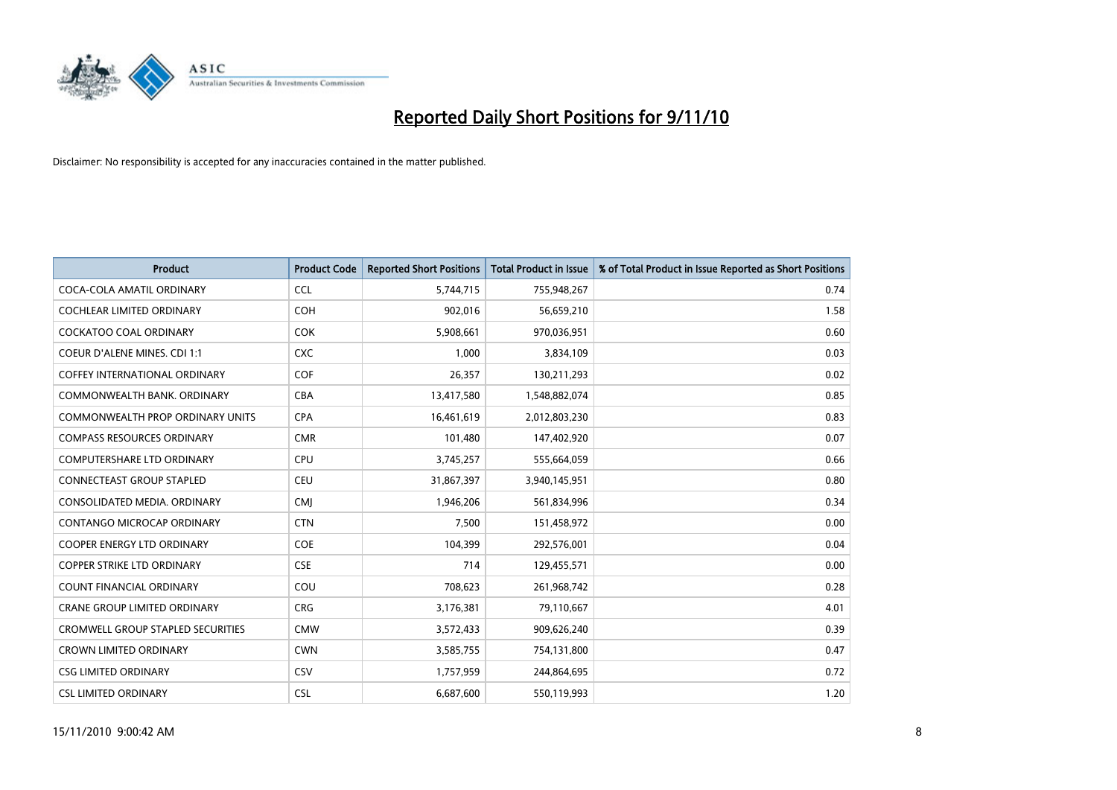

| <b>Product</b>                           | <b>Product Code</b> | <b>Reported Short Positions</b> | <b>Total Product in Issue</b> | % of Total Product in Issue Reported as Short Positions |
|------------------------------------------|---------------------|---------------------------------|-------------------------------|---------------------------------------------------------|
| COCA-COLA AMATIL ORDINARY                | <b>CCL</b>          | 5,744,715                       | 755,948,267                   | 0.74                                                    |
| COCHLEAR LIMITED ORDINARY                | COH                 | 902,016                         | 56,659,210                    | 1.58                                                    |
| <b>COCKATOO COAL ORDINARY</b>            | <b>COK</b>          | 5,908,661                       | 970,036,951                   | 0.60                                                    |
| COEUR D'ALENE MINES. CDI 1:1             | <b>CXC</b>          | 1,000                           | 3,834,109                     | 0.03                                                    |
| <b>COFFEY INTERNATIONAL ORDINARY</b>     | COF                 | 26,357                          | 130,211,293                   | 0.02                                                    |
| COMMONWEALTH BANK, ORDINARY              | <b>CBA</b>          | 13,417,580                      | 1,548,882,074                 | 0.85                                                    |
| COMMONWEALTH PROP ORDINARY UNITS         | <b>CPA</b>          | 16,461,619                      | 2,012,803,230                 | 0.83                                                    |
| <b>COMPASS RESOURCES ORDINARY</b>        | <b>CMR</b>          | 101,480                         | 147,402,920                   | 0.07                                                    |
| COMPUTERSHARE LTD ORDINARY               | CPU                 | 3,745,257                       | 555,664,059                   | 0.66                                                    |
| <b>CONNECTEAST GROUP STAPLED</b>         | CEU                 | 31,867,397                      | 3,940,145,951                 | 0.80                                                    |
| CONSOLIDATED MEDIA, ORDINARY             | <b>CMI</b>          | 1,946,206                       | 561,834,996                   | 0.34                                                    |
| CONTANGO MICROCAP ORDINARY               | <b>CTN</b>          | 7,500                           | 151,458,972                   | 0.00                                                    |
| <b>COOPER ENERGY LTD ORDINARY</b>        | <b>COE</b>          | 104,399                         | 292,576,001                   | 0.04                                                    |
| <b>COPPER STRIKE LTD ORDINARY</b>        | <b>CSE</b>          | 714                             | 129,455,571                   | 0.00                                                    |
| <b>COUNT FINANCIAL ORDINARY</b>          | COU                 | 708,623                         | 261,968,742                   | 0.28                                                    |
| <b>CRANE GROUP LIMITED ORDINARY</b>      | <b>CRG</b>          | 3,176,381                       | 79,110,667                    | 4.01                                                    |
| <b>CROMWELL GROUP STAPLED SECURITIES</b> | <b>CMW</b>          | 3,572,433                       | 909,626,240                   | 0.39                                                    |
| <b>CROWN LIMITED ORDINARY</b>            | <b>CWN</b>          | 3,585,755                       | 754,131,800                   | 0.47                                                    |
| <b>CSG LIMITED ORDINARY</b>              | CSV                 | 1,757,959                       | 244,864,695                   | 0.72                                                    |
| <b>CSL LIMITED ORDINARY</b>              | <b>CSL</b>          | 6,687,600                       | 550,119,993                   | 1.20                                                    |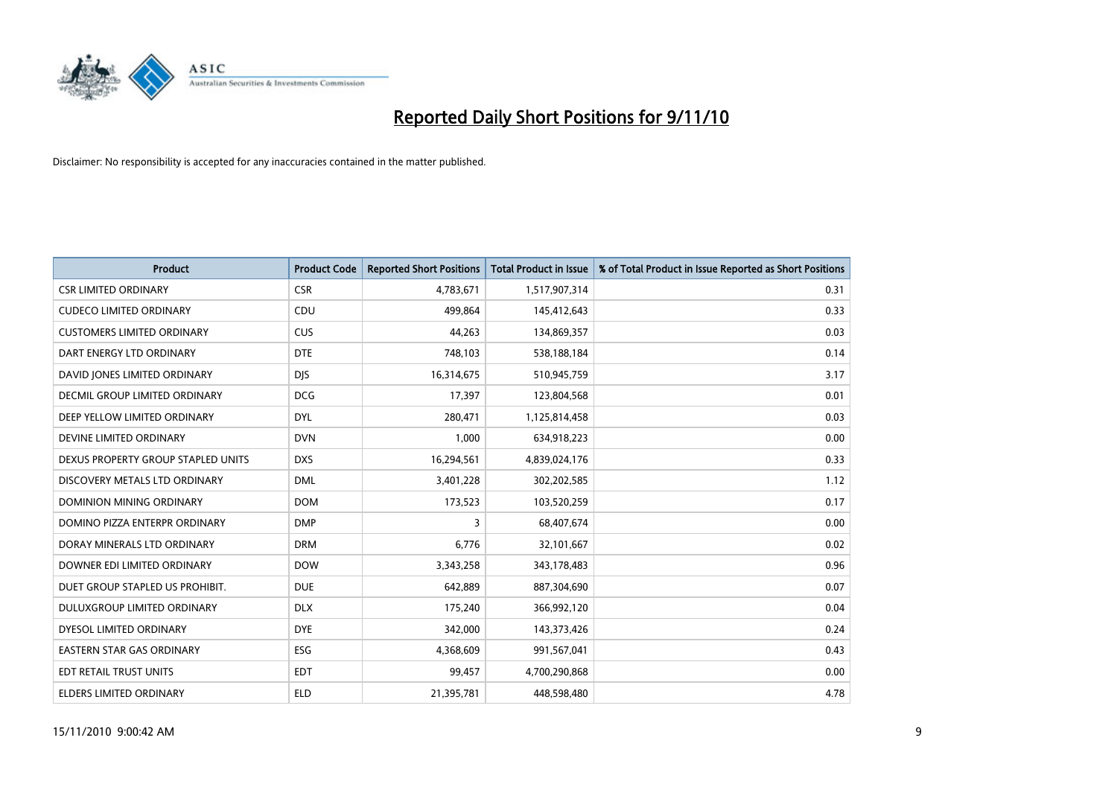

| <b>Product</b>                     | <b>Product Code</b> | <b>Reported Short Positions</b> | <b>Total Product in Issue</b> | % of Total Product in Issue Reported as Short Positions |
|------------------------------------|---------------------|---------------------------------|-------------------------------|---------------------------------------------------------|
| <b>CSR LIMITED ORDINARY</b>        | <b>CSR</b>          | 4,783,671                       | 1,517,907,314                 | 0.31                                                    |
| <b>CUDECO LIMITED ORDINARY</b>     | CDU                 | 499,864                         | 145,412,643                   | 0.33                                                    |
| <b>CUSTOMERS LIMITED ORDINARY</b>  | <b>CUS</b>          | 44,263                          | 134,869,357                   | 0.03                                                    |
| DART ENERGY LTD ORDINARY           | <b>DTE</b>          | 748,103                         | 538,188,184                   | 0.14                                                    |
| DAVID JONES LIMITED ORDINARY       | <b>DIS</b>          | 16,314,675                      | 510,945,759                   | 3.17                                                    |
| DECMIL GROUP LIMITED ORDINARY      | <b>DCG</b>          | 17,397                          | 123,804,568                   | 0.01                                                    |
| DEEP YELLOW LIMITED ORDINARY       | <b>DYL</b>          | 280,471                         | 1,125,814,458                 | 0.03                                                    |
| DEVINE LIMITED ORDINARY            | <b>DVN</b>          | 1,000                           | 634,918,223                   | 0.00                                                    |
| DEXUS PROPERTY GROUP STAPLED UNITS | <b>DXS</b>          | 16,294,561                      | 4,839,024,176                 | 0.33                                                    |
| DISCOVERY METALS LTD ORDINARY      | <b>DML</b>          | 3,401,228                       | 302,202,585                   | 1.12                                                    |
| <b>DOMINION MINING ORDINARY</b>    | <b>DOM</b>          | 173,523                         | 103,520,259                   | 0.17                                                    |
| DOMINO PIZZA ENTERPR ORDINARY      | <b>DMP</b>          | 3                               | 68,407,674                    | 0.00                                                    |
| DORAY MINERALS LTD ORDINARY        | <b>DRM</b>          | 6,776                           | 32,101,667                    | 0.02                                                    |
| DOWNER EDI LIMITED ORDINARY        | <b>DOW</b>          | 3,343,258                       | 343,178,483                   | 0.96                                                    |
| DUET GROUP STAPLED US PROHIBIT.    | <b>DUE</b>          | 642,889                         | 887,304,690                   | 0.07                                                    |
| DULUXGROUP LIMITED ORDINARY        | <b>DLX</b>          | 175,240                         | 366,992,120                   | 0.04                                                    |
| DYESOL LIMITED ORDINARY            | <b>DYE</b>          | 342,000                         | 143,373,426                   | 0.24                                                    |
| EASTERN STAR GAS ORDINARY          | ESG                 | 4,368,609                       | 991,567,041                   | 0.43                                                    |
| EDT RETAIL TRUST UNITS             | <b>EDT</b>          | 99,457                          | 4,700,290,868                 | 0.00                                                    |
| ELDERS LIMITED ORDINARY            | <b>ELD</b>          | 21,395,781                      | 448,598,480                   | 4.78                                                    |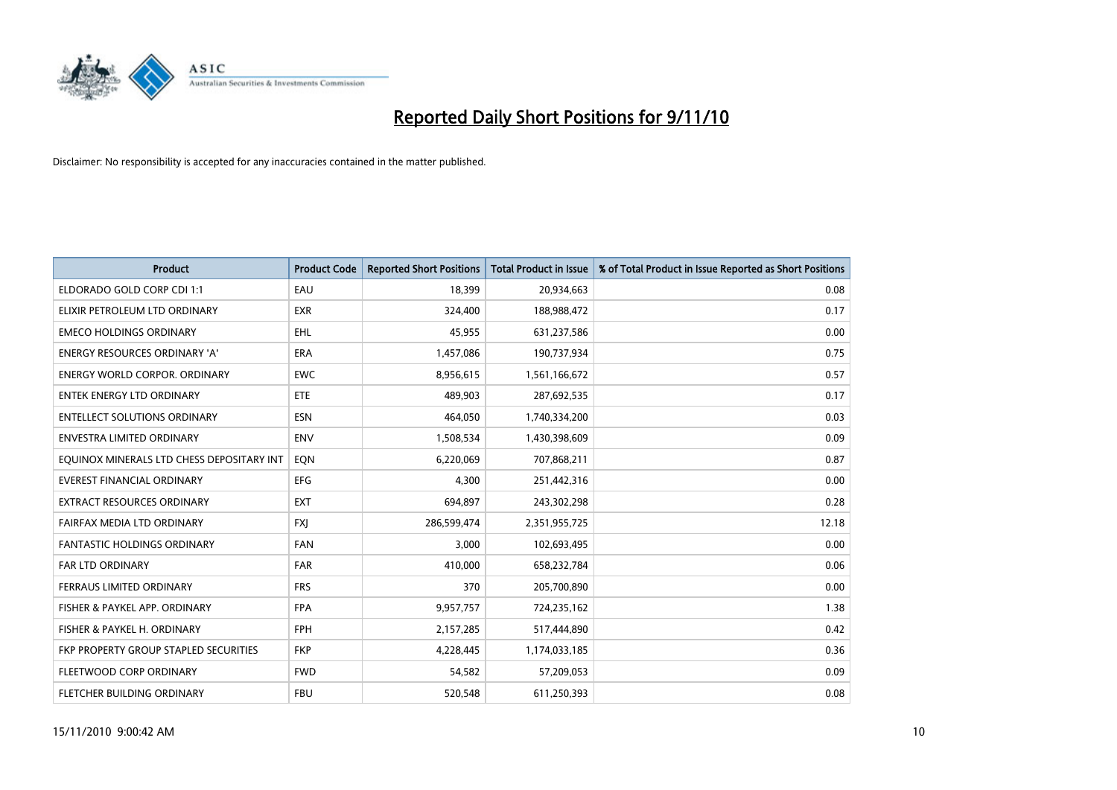

| <b>Product</b>                            | <b>Product Code</b> | <b>Reported Short Positions</b> | Total Product in Issue | % of Total Product in Issue Reported as Short Positions |
|-------------------------------------------|---------------------|---------------------------------|------------------------|---------------------------------------------------------|
| ELDORADO GOLD CORP CDI 1:1                | EAU                 | 18,399                          | 20,934,663             | 0.08                                                    |
| ELIXIR PETROLEUM LTD ORDINARY             | <b>EXR</b>          | 324,400                         | 188,988,472            | 0.17                                                    |
| <b>EMECO HOLDINGS ORDINARY</b>            | <b>EHL</b>          | 45,955                          | 631,237,586            | 0.00                                                    |
| ENERGY RESOURCES ORDINARY 'A'             | <b>ERA</b>          | 1,457,086                       | 190,737,934            | 0.75                                                    |
| <b>ENERGY WORLD CORPOR, ORDINARY</b>      | <b>EWC</b>          | 8,956,615                       | 1,561,166,672          | 0.57                                                    |
| <b>ENTEK ENERGY LTD ORDINARY</b>          | <b>ETE</b>          | 489.903                         | 287,692,535            | 0.17                                                    |
| <b>ENTELLECT SOLUTIONS ORDINARY</b>       | <b>ESN</b>          | 464,050                         | 1,740,334,200          | 0.03                                                    |
| <b>ENVESTRA LIMITED ORDINARY</b>          | <b>ENV</b>          | 1,508,534                       | 1,430,398,609          | 0.09                                                    |
| EQUINOX MINERALS LTD CHESS DEPOSITARY INT | EON                 | 6,220,069                       | 707,868,211            | 0.87                                                    |
| <b>EVEREST FINANCIAL ORDINARY</b>         | <b>EFG</b>          | 4.300                           | 251,442,316            | 0.00                                                    |
| <b>EXTRACT RESOURCES ORDINARY</b>         | <b>EXT</b>          | 694,897                         | 243,302,298            | 0.28                                                    |
| FAIRFAX MEDIA LTD ORDINARY                | <b>FXI</b>          | 286,599,474                     | 2,351,955,725          | 12.18                                                   |
| <b>FANTASTIC HOLDINGS ORDINARY</b>        | <b>FAN</b>          | 3,000                           | 102,693,495            | 0.00                                                    |
| <b>FAR LTD ORDINARY</b>                   | <b>FAR</b>          | 410.000                         | 658,232,784            | 0.06                                                    |
| FERRAUS LIMITED ORDINARY                  | <b>FRS</b>          | 370                             | 205,700,890            | 0.00                                                    |
| FISHER & PAYKEL APP. ORDINARY             | <b>FPA</b>          | 9,957,757                       | 724,235,162            | 1.38                                                    |
| FISHER & PAYKEL H. ORDINARY               | <b>FPH</b>          | 2,157,285                       | 517,444,890            | 0.42                                                    |
| FKP PROPERTY GROUP STAPLED SECURITIES     | <b>FKP</b>          | 4,228,445                       | 1,174,033,185          | 0.36                                                    |
| FLEETWOOD CORP ORDINARY                   | <b>FWD</b>          | 54,582                          | 57,209,053             | 0.09                                                    |
| <b>FLETCHER BUILDING ORDINARY</b>         | <b>FBU</b>          | 520,548                         | 611,250,393            | 0.08                                                    |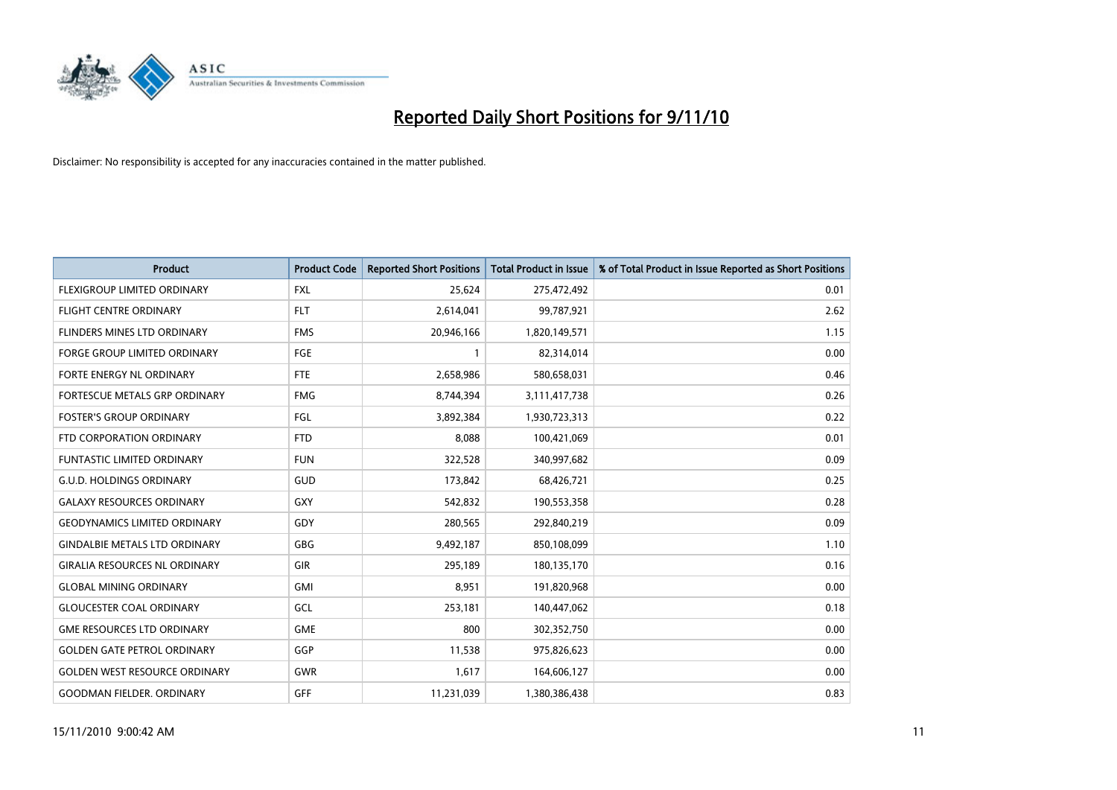

| <b>Product</b>                       | <b>Product Code</b> | <b>Reported Short Positions</b> | Total Product in Issue | % of Total Product in Issue Reported as Short Positions |
|--------------------------------------|---------------------|---------------------------------|------------------------|---------------------------------------------------------|
| FLEXIGROUP LIMITED ORDINARY          | <b>FXL</b>          | 25,624                          | 275,472,492            | 0.01                                                    |
| <b>FLIGHT CENTRE ORDINARY</b>        | <b>FLT</b>          | 2,614,041                       | 99,787,921             | 2.62                                                    |
| <b>FLINDERS MINES LTD ORDINARY</b>   | <b>FMS</b>          | 20,946,166                      | 1,820,149,571          | 1.15                                                    |
| <b>FORGE GROUP LIMITED ORDINARY</b>  | FGE                 |                                 | 82,314,014             | 0.00                                                    |
| FORTE ENERGY NL ORDINARY             | <b>FTE</b>          | 2,658,986                       | 580,658,031            | 0.46                                                    |
| FORTESCUE METALS GRP ORDINARY        | <b>FMG</b>          | 8,744,394                       | 3,111,417,738          | 0.26                                                    |
| <b>FOSTER'S GROUP ORDINARY</b>       | FGL                 | 3,892,384                       | 1,930,723,313          | 0.22                                                    |
| FTD CORPORATION ORDINARY             | <b>FTD</b>          | 8,088                           | 100,421,069            | 0.01                                                    |
| <b>FUNTASTIC LIMITED ORDINARY</b>    | <b>FUN</b>          | 322,528                         | 340,997,682            | 0.09                                                    |
| <b>G.U.D. HOLDINGS ORDINARY</b>      | <b>GUD</b>          | 173,842                         | 68,426,721             | 0.25                                                    |
| <b>GALAXY RESOURCES ORDINARY</b>     | <b>GXY</b>          | 542,832                         | 190,553,358            | 0.28                                                    |
| <b>GEODYNAMICS LIMITED ORDINARY</b>  | GDY                 | 280,565                         | 292,840,219            | 0.09                                                    |
| <b>GINDALBIE METALS LTD ORDINARY</b> | <b>GBG</b>          | 9,492,187                       | 850,108,099            | 1.10                                                    |
| <b>GIRALIA RESOURCES NL ORDINARY</b> | GIR                 | 295,189                         | 180,135,170            | 0.16                                                    |
| <b>GLOBAL MINING ORDINARY</b>        | <b>GMI</b>          | 8.951                           | 191,820,968            | 0.00                                                    |
| <b>GLOUCESTER COAL ORDINARY</b>      | GCL                 | 253,181                         | 140,447,062            | 0.18                                                    |
| <b>GME RESOURCES LTD ORDINARY</b>    | <b>GME</b>          | 800                             | 302,352,750            | 0.00                                                    |
| <b>GOLDEN GATE PETROL ORDINARY</b>   | GGP                 | 11,538                          | 975,826,623            | 0.00                                                    |
| <b>GOLDEN WEST RESOURCE ORDINARY</b> | GWR                 | 1,617                           | 164,606,127            | 0.00                                                    |
| <b>GOODMAN FIELDER. ORDINARY</b>     | <b>GFF</b>          | 11,231,039                      | 1,380,386,438          | 0.83                                                    |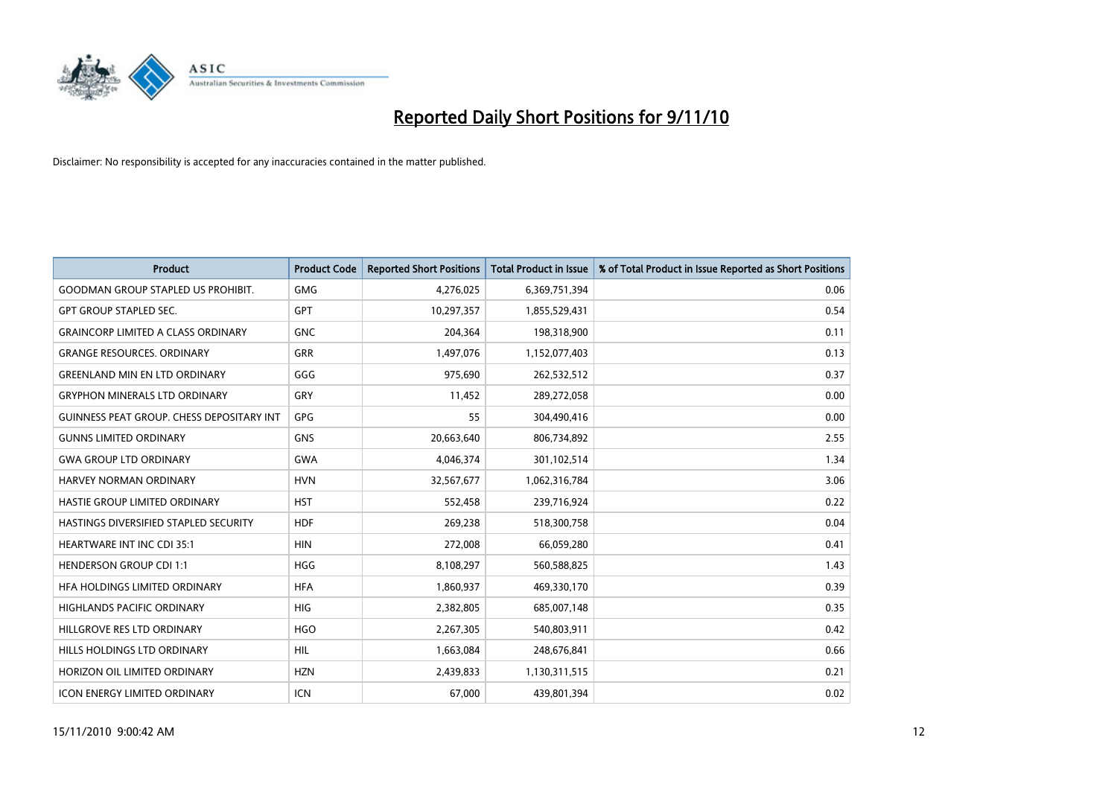

| <b>Product</b>                                   | <b>Product Code</b> | <b>Reported Short Positions</b> | Total Product in Issue | % of Total Product in Issue Reported as Short Positions |
|--------------------------------------------------|---------------------|---------------------------------|------------------------|---------------------------------------------------------|
| <b>GOODMAN GROUP STAPLED US PROHIBIT.</b>        | <b>GMG</b>          | 4,276,025                       | 6,369,751,394          | 0.06                                                    |
| <b>GPT GROUP STAPLED SEC.</b>                    | <b>GPT</b>          | 10,297,357                      | 1,855,529,431          | 0.54                                                    |
| <b>GRAINCORP LIMITED A CLASS ORDINARY</b>        | <b>GNC</b>          | 204,364                         | 198,318,900            | 0.11                                                    |
| <b>GRANGE RESOURCES, ORDINARY</b>                | <b>GRR</b>          | 1,497,076                       | 1,152,077,403          | 0.13                                                    |
| <b>GREENLAND MIN EN LTD ORDINARY</b>             | GGG                 | 975,690                         | 262,532,512            | 0.37                                                    |
| <b>GRYPHON MINERALS LTD ORDINARY</b>             | GRY                 | 11,452                          | 289,272,058            | 0.00                                                    |
| <b>GUINNESS PEAT GROUP. CHESS DEPOSITARY INT</b> | GPG                 | 55                              | 304,490,416            | 0.00                                                    |
| <b>GUNNS LIMITED ORDINARY</b>                    | <b>GNS</b>          | 20,663,640                      | 806,734,892            | 2.55                                                    |
| <b>GWA GROUP LTD ORDINARY</b>                    | <b>GWA</b>          | 4,046,374                       | 301,102,514            | 1.34                                                    |
| <b>HARVEY NORMAN ORDINARY</b>                    | <b>HVN</b>          | 32,567,677                      | 1,062,316,784          | 3.06                                                    |
| HASTIE GROUP LIMITED ORDINARY                    | <b>HST</b>          | 552,458                         | 239,716,924            | 0.22                                                    |
| HASTINGS DIVERSIFIED STAPLED SECURITY            | <b>HDF</b>          | 269,238                         | 518,300,758            | 0.04                                                    |
| <b>HEARTWARE INT INC CDI 35:1</b>                | <b>HIN</b>          | 272,008                         | 66,059,280             | 0.41                                                    |
| <b>HENDERSON GROUP CDI 1:1</b>                   | <b>HGG</b>          | 8,108,297                       | 560,588,825            | 1.43                                                    |
| HFA HOLDINGS LIMITED ORDINARY                    | <b>HFA</b>          | 1,860,937                       | 469,330,170            | 0.39                                                    |
| <b>HIGHLANDS PACIFIC ORDINARY</b>                | <b>HIG</b>          | 2,382,805                       | 685,007,148            | 0.35                                                    |
| HILLGROVE RES LTD ORDINARY                       | <b>HGO</b>          | 2,267,305                       | 540,803,911            | 0.42                                                    |
| HILLS HOLDINGS LTD ORDINARY                      | <b>HIL</b>          | 1,663,084                       | 248,676,841            | 0.66                                                    |
| HORIZON OIL LIMITED ORDINARY                     | <b>HZN</b>          | 2,439,833                       | 1,130,311,515          | 0.21                                                    |
| ICON ENERGY LIMITED ORDINARY                     | <b>ICN</b>          | 67,000                          | 439,801,394            | 0.02                                                    |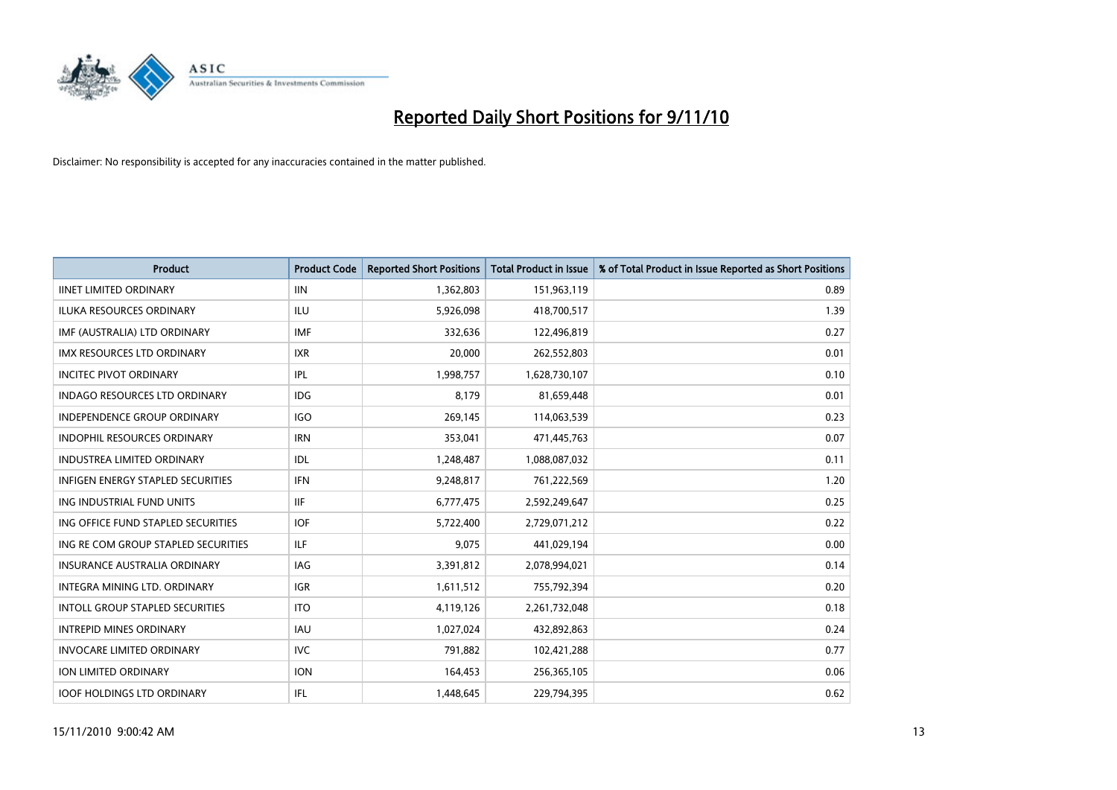

| <b>Product</b>                           | <b>Product Code</b> | <b>Reported Short Positions</b> | <b>Total Product in Issue</b> | % of Total Product in Issue Reported as Short Positions |
|------------------------------------------|---------------------|---------------------------------|-------------------------------|---------------------------------------------------------|
| <b>IINET LIMITED ORDINARY</b>            | <b>IIN</b>          | 1,362,803                       | 151,963,119                   | 0.89                                                    |
| <b>ILUKA RESOURCES ORDINARY</b>          | <b>ILU</b>          | 5,926,098                       | 418,700,517                   | 1.39                                                    |
| IMF (AUSTRALIA) LTD ORDINARY             | <b>IMF</b>          | 332,636                         | 122,496,819                   | 0.27                                                    |
| IMX RESOURCES LTD ORDINARY               | <b>IXR</b>          | 20,000                          | 262,552,803                   | 0.01                                                    |
| <b>INCITEC PIVOT ORDINARY</b>            | IPL                 | 1,998,757                       | 1,628,730,107                 | 0.10                                                    |
| <b>INDAGO RESOURCES LTD ORDINARY</b>     | <b>IDG</b>          | 8,179                           | 81,659,448                    | 0.01                                                    |
| <b>INDEPENDENCE GROUP ORDINARY</b>       | <b>IGO</b>          | 269.145                         | 114,063,539                   | 0.23                                                    |
| <b>INDOPHIL RESOURCES ORDINARY</b>       | <b>IRN</b>          | 353,041                         | 471,445,763                   | 0.07                                                    |
| <b>INDUSTREA LIMITED ORDINARY</b>        | <b>IDL</b>          | 1,248,487                       | 1,088,087,032                 | 0.11                                                    |
| <b>INFIGEN ENERGY STAPLED SECURITIES</b> | <b>IFN</b>          | 9,248,817                       | 761,222,569                   | 1.20                                                    |
| ING INDUSTRIAL FUND UNITS                | <b>IIF</b>          | 6,777,475                       | 2,592,249,647                 | 0.25                                                    |
| ING OFFICE FUND STAPLED SECURITIES       | <b>IOF</b>          | 5,722,400                       | 2,729,071,212                 | 0.22                                                    |
| ING RE COM GROUP STAPLED SECURITIES      | <b>ILF</b>          | 9.075                           | 441,029,194                   | 0.00                                                    |
| <b>INSURANCE AUSTRALIA ORDINARY</b>      | <b>IAG</b>          | 3,391,812                       | 2,078,994,021                 | 0.14                                                    |
| INTEGRA MINING LTD, ORDINARY             | <b>IGR</b>          | 1,611,512                       | 755,792,394                   | 0.20                                                    |
| <b>INTOLL GROUP STAPLED SECURITIES</b>   | <b>ITO</b>          | 4,119,126                       | 2,261,732,048                 | 0.18                                                    |
| <b>INTREPID MINES ORDINARY</b>           | <b>IAU</b>          | 1,027,024                       | 432,892,863                   | 0.24                                                    |
| <b>INVOCARE LIMITED ORDINARY</b>         | <b>IVC</b>          | 791,882                         | 102,421,288                   | 0.77                                                    |
| ION LIMITED ORDINARY                     | <b>ION</b>          | 164,453                         | 256,365,105                   | 0.06                                                    |
| <b>IOOF HOLDINGS LTD ORDINARY</b>        | <b>IFL</b>          | 1.448.645                       | 229,794,395                   | 0.62                                                    |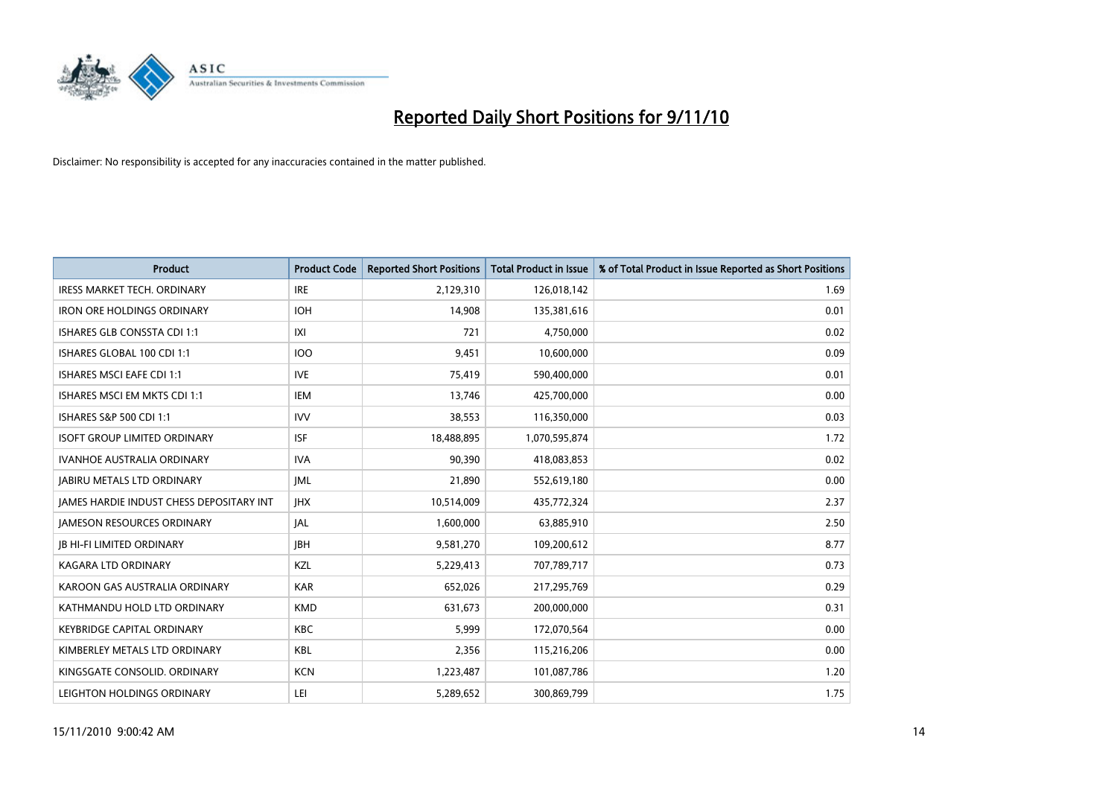

| <b>Product</b>                                  | <b>Product Code</b> | <b>Reported Short Positions</b> | <b>Total Product in Issue</b> | % of Total Product in Issue Reported as Short Positions |
|-------------------------------------------------|---------------------|---------------------------------|-------------------------------|---------------------------------------------------------|
| <b>IRESS MARKET TECH. ORDINARY</b>              | <b>IRE</b>          | 2,129,310                       | 126,018,142                   | 1.69                                                    |
| <b>IRON ORE HOLDINGS ORDINARY</b>               | <b>IOH</b>          | 14,908                          | 135,381,616                   | 0.01                                                    |
| <b>ISHARES GLB CONSSTA CDI 1:1</b>              | X                   | 721                             | 4,750,000                     | 0.02                                                    |
| ISHARES GLOBAL 100 CDI 1:1                      | <b>IOO</b>          | 9,451                           | 10,600,000                    | 0.09                                                    |
| <b>ISHARES MSCI EAFE CDI 1:1</b>                | <b>IVE</b>          | 75,419                          | 590,400,000                   | 0.01                                                    |
| ISHARES MSCI EM MKTS CDI 1:1                    | <b>IEM</b>          | 13,746                          | 425,700,000                   | 0.00                                                    |
| ISHARES S&P 500 CDI 1:1                         | <b>IVV</b>          | 38,553                          | 116,350,000                   | 0.03                                                    |
| <b>ISOFT GROUP LIMITED ORDINARY</b>             | <b>ISF</b>          | 18,488,895                      | 1,070,595,874                 | 1.72                                                    |
| <b>IVANHOE AUSTRALIA ORDINARY</b>               | <b>IVA</b>          | 90,390                          | 418,083,853                   | 0.02                                                    |
| <b>JABIRU METALS LTD ORDINARY</b>               | <b>JML</b>          | 21,890                          | 552,619,180                   | 0.00                                                    |
| <b>JAMES HARDIE INDUST CHESS DEPOSITARY INT</b> | <b>IHX</b>          | 10,514,009                      | 435,772,324                   | 2.37                                                    |
| <b>JAMESON RESOURCES ORDINARY</b>               | JAL                 | 1,600,000                       | 63,885,910                    | 2.50                                                    |
| <b>IB HI-FI LIMITED ORDINARY</b>                | <b>IBH</b>          | 9,581,270                       | 109,200,612                   | 8.77                                                    |
| <b>KAGARA LTD ORDINARY</b>                      | KZL                 | 5,229,413                       | 707,789,717                   | 0.73                                                    |
| KAROON GAS AUSTRALIA ORDINARY                   | <b>KAR</b>          | 652,026                         | 217,295,769                   | 0.29                                                    |
| KATHMANDU HOLD LTD ORDINARY                     | <b>KMD</b>          | 631,673                         | 200,000,000                   | 0.31                                                    |
| <b>KEYBRIDGE CAPITAL ORDINARY</b>               | <b>KBC</b>          | 5,999                           | 172,070,564                   | 0.00                                                    |
| KIMBERLEY METALS LTD ORDINARY                   | <b>KBL</b>          | 2,356                           | 115,216,206                   | 0.00                                                    |
| KINGSGATE CONSOLID. ORDINARY                    | <b>KCN</b>          | 1,223,487                       | 101,087,786                   | 1.20                                                    |
| LEIGHTON HOLDINGS ORDINARY                      | LEI                 | 5,289,652                       | 300,869,799                   | 1.75                                                    |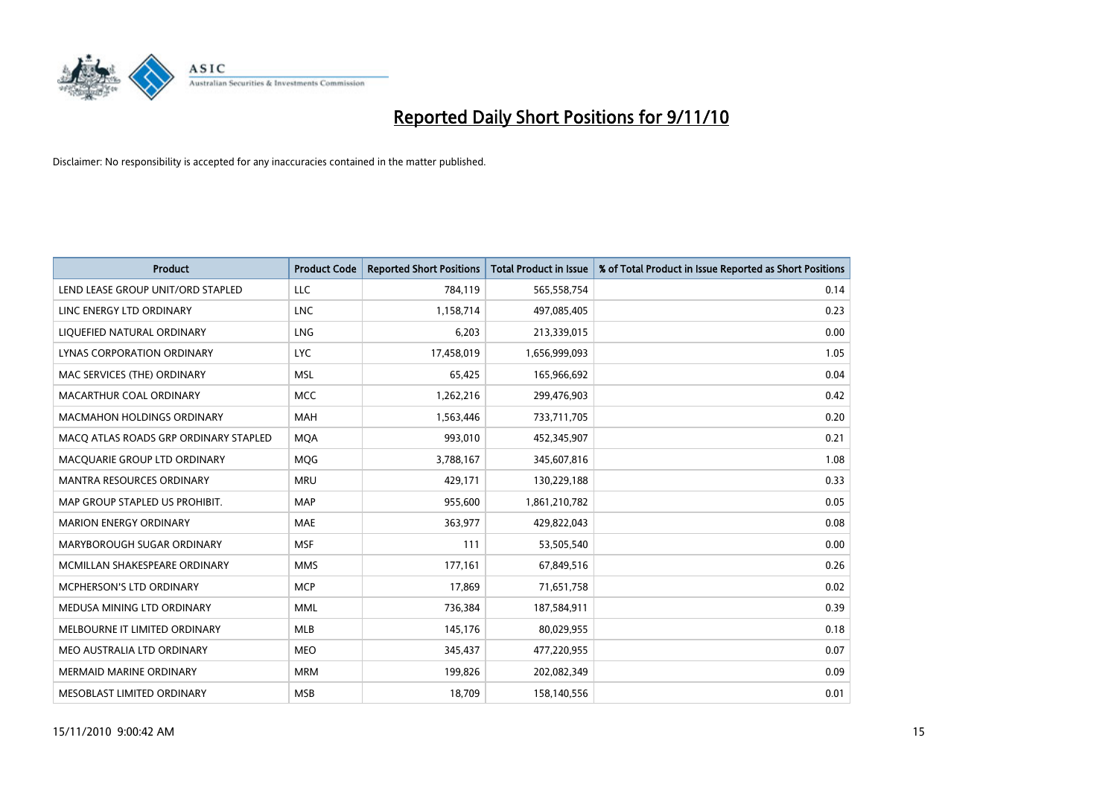

| <b>Product</b>                        | <b>Product Code</b> | <b>Reported Short Positions</b> | <b>Total Product in Issue</b> | % of Total Product in Issue Reported as Short Positions |
|---------------------------------------|---------------------|---------------------------------|-------------------------------|---------------------------------------------------------|
| LEND LEASE GROUP UNIT/ORD STAPLED     | LLC                 | 784,119                         | 565,558,754                   | 0.14                                                    |
| LINC ENERGY LTD ORDINARY              | <b>LNC</b>          | 1,158,714                       | 497,085,405                   | 0.23                                                    |
| LIQUEFIED NATURAL ORDINARY            | LNG                 | 6,203                           | 213,339,015                   | 0.00                                                    |
| <b>LYNAS CORPORATION ORDINARY</b>     | <b>LYC</b>          | 17,458,019                      | 1,656,999,093                 | 1.05                                                    |
| MAC SERVICES (THE) ORDINARY           | <b>MSL</b>          | 65,425                          | 165,966,692                   | 0.04                                                    |
| MACARTHUR COAL ORDINARY               | <b>MCC</b>          | 1,262,216                       | 299,476,903                   | 0.42                                                    |
| MACMAHON HOLDINGS ORDINARY            | <b>MAH</b>          | 1,563,446                       | 733,711,705                   | 0.20                                                    |
| MACO ATLAS ROADS GRP ORDINARY STAPLED | <b>MOA</b>          | 993,010                         | 452,345,907                   | 0.21                                                    |
| MACQUARIE GROUP LTD ORDINARY          | <b>MOG</b>          | 3,788,167                       | 345,607,816                   | 1.08                                                    |
| <b>MANTRA RESOURCES ORDINARY</b>      | <b>MRU</b>          | 429,171                         | 130,229,188                   | 0.33                                                    |
| MAP GROUP STAPLED US PROHIBIT.        | <b>MAP</b>          | 955,600                         | 1,861,210,782                 | 0.05                                                    |
| <b>MARION ENERGY ORDINARY</b>         | <b>MAE</b>          | 363,977                         | 429,822,043                   | 0.08                                                    |
| MARYBOROUGH SUGAR ORDINARY            | <b>MSF</b>          | 111                             | 53,505,540                    | 0.00                                                    |
| MCMILLAN SHAKESPEARE ORDINARY         | <b>MMS</b>          | 177,161                         | 67,849,516                    | 0.26                                                    |
| MCPHERSON'S LTD ORDINARY              | <b>MCP</b>          | 17,869                          | 71,651,758                    | 0.02                                                    |
| MEDUSA MINING LTD ORDINARY            | <b>MML</b>          | 736,384                         | 187,584,911                   | 0.39                                                    |
| MELBOURNE IT LIMITED ORDINARY         | MLB                 | 145,176                         | 80,029,955                    | 0.18                                                    |
| MEO AUSTRALIA LTD ORDINARY            | <b>MEO</b>          | 345,437                         | 477,220,955                   | 0.07                                                    |
| <b>MERMAID MARINE ORDINARY</b>        | <b>MRM</b>          | 199,826                         | 202,082,349                   | 0.09                                                    |
| MESOBLAST LIMITED ORDINARY            | <b>MSB</b>          | 18,709                          | 158,140,556                   | 0.01                                                    |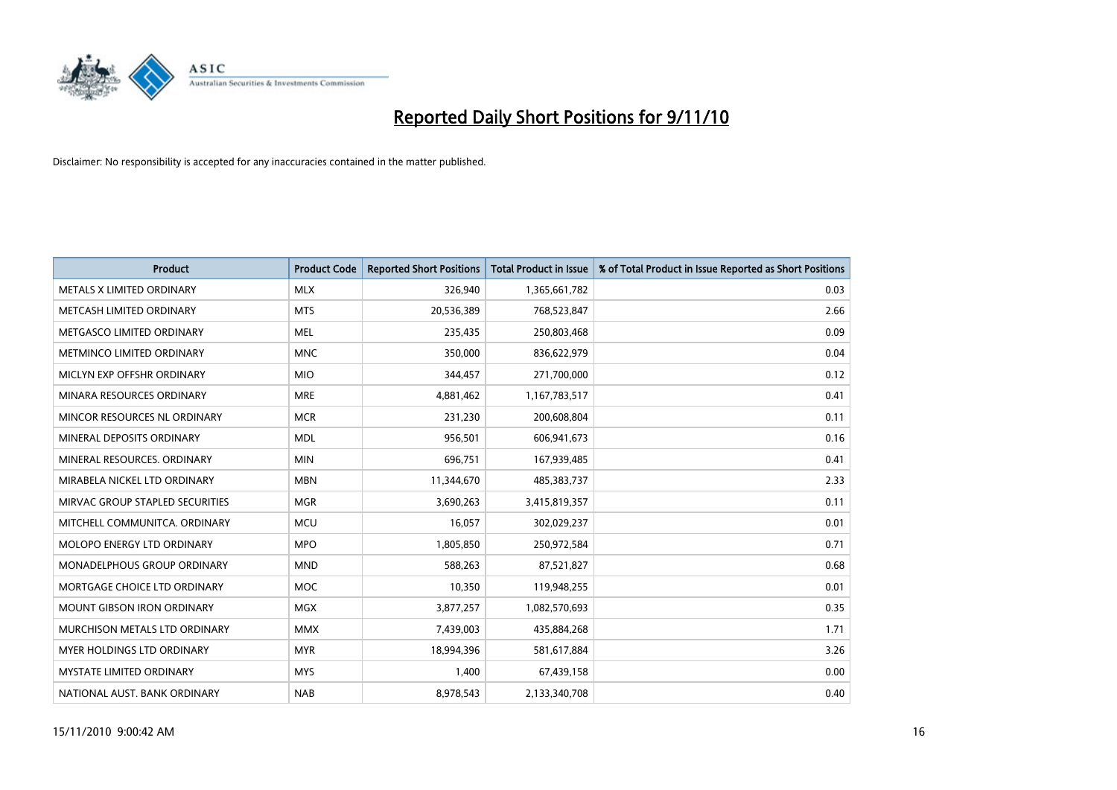

| <b>Product</b>                    | <b>Product Code</b> | <b>Reported Short Positions</b> | <b>Total Product in Issue</b> | % of Total Product in Issue Reported as Short Positions |
|-----------------------------------|---------------------|---------------------------------|-------------------------------|---------------------------------------------------------|
| METALS X LIMITED ORDINARY         | <b>MLX</b>          | 326,940                         | 1,365,661,782                 | 0.03                                                    |
| METCASH LIMITED ORDINARY          | <b>MTS</b>          | 20,536,389                      | 768,523,847                   | 2.66                                                    |
| METGASCO LIMITED ORDINARY         | <b>MEL</b>          | 235,435                         | 250,803,468                   | 0.09                                                    |
| METMINCO LIMITED ORDINARY         | <b>MNC</b>          | 350,000                         | 836,622,979                   | 0.04                                                    |
| MICLYN EXP OFFSHR ORDINARY        | <b>MIO</b>          | 344,457                         | 271,700,000                   | 0.12                                                    |
| MINARA RESOURCES ORDINARY         | <b>MRE</b>          | 4,881,462                       | 1,167,783,517                 | 0.41                                                    |
| MINCOR RESOURCES NL ORDINARY      | <b>MCR</b>          | 231,230                         | 200,608,804                   | 0.11                                                    |
| MINERAL DEPOSITS ORDINARY         | <b>MDL</b>          | 956,501                         | 606,941,673                   | 0.16                                                    |
| MINERAL RESOURCES. ORDINARY       | <b>MIN</b>          | 696,751                         | 167,939,485                   | 0.41                                                    |
| MIRABELA NICKEL LTD ORDINARY      | <b>MBN</b>          | 11,344,670                      | 485,383,737                   | 2.33                                                    |
| MIRVAC GROUP STAPLED SECURITIES   | <b>MGR</b>          | 3,690,263                       | 3,415,819,357                 | 0.11                                                    |
| MITCHELL COMMUNITCA, ORDINARY     | <b>MCU</b>          | 16,057                          | 302,029,237                   | 0.01                                                    |
| MOLOPO ENERGY LTD ORDINARY        | <b>MPO</b>          | 1,805,850                       | 250,972,584                   | 0.71                                                    |
| MONADELPHOUS GROUP ORDINARY       | <b>MND</b>          | 588,263                         | 87,521,827                    | 0.68                                                    |
| MORTGAGE CHOICE LTD ORDINARY      | <b>MOC</b>          | 10,350                          | 119,948,255                   | 0.01                                                    |
| MOUNT GIBSON IRON ORDINARY        | MGX                 | 3,877,257                       | 1,082,570,693                 | 0.35                                                    |
| MURCHISON METALS LTD ORDINARY     | <b>MMX</b>          | 7,439,003                       | 435,884,268                   | 1.71                                                    |
| <b>MYER HOLDINGS LTD ORDINARY</b> | <b>MYR</b>          | 18,994,396                      | 581,617,884                   | 3.26                                                    |
| <b>MYSTATE LIMITED ORDINARY</b>   | <b>MYS</b>          | 1,400                           | 67,439,158                    | 0.00                                                    |
| NATIONAL AUST. BANK ORDINARY      | <b>NAB</b>          | 8,978,543                       | 2,133,340,708                 | 0.40                                                    |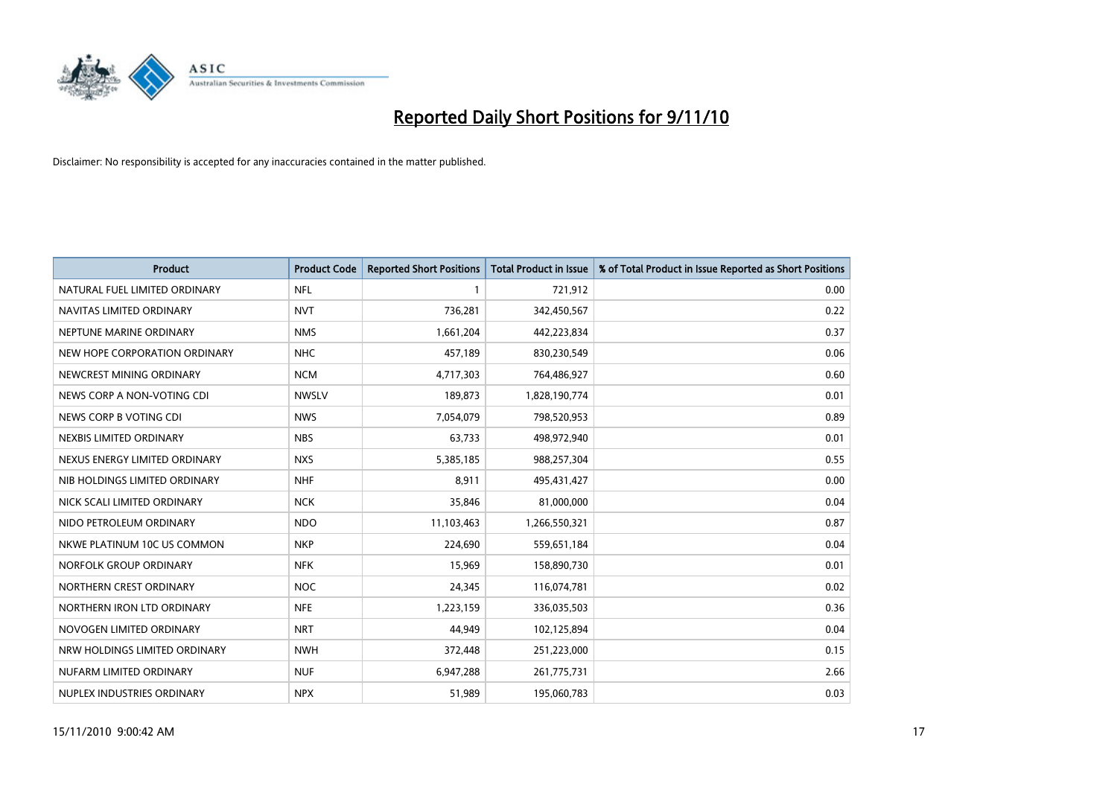

| <b>Product</b>                | <b>Product Code</b> | <b>Reported Short Positions</b> | <b>Total Product in Issue</b> | % of Total Product in Issue Reported as Short Positions |
|-------------------------------|---------------------|---------------------------------|-------------------------------|---------------------------------------------------------|
| NATURAL FUEL LIMITED ORDINARY | <b>NFL</b>          |                                 | 721,912                       | 0.00                                                    |
| NAVITAS LIMITED ORDINARY      | <b>NVT</b>          | 736,281                         | 342,450,567                   | 0.22                                                    |
| NEPTUNE MARINE ORDINARY       | <b>NMS</b>          | 1,661,204                       | 442,223,834                   | 0.37                                                    |
| NEW HOPE CORPORATION ORDINARY | <b>NHC</b>          | 457,189                         | 830,230,549                   | 0.06                                                    |
| NEWCREST MINING ORDINARY      | <b>NCM</b>          | 4,717,303                       | 764,486,927                   | 0.60                                                    |
| NEWS CORP A NON-VOTING CDI    | <b>NWSLV</b>        | 189,873                         | 1,828,190,774                 | 0.01                                                    |
| NEWS CORP B VOTING CDI        | <b>NWS</b>          | 7,054,079                       | 798,520,953                   | 0.89                                                    |
| NEXBIS LIMITED ORDINARY       | <b>NBS</b>          | 63,733                          | 498,972,940                   | 0.01                                                    |
| NEXUS ENERGY LIMITED ORDINARY | <b>NXS</b>          | 5,385,185                       | 988,257,304                   | 0.55                                                    |
| NIB HOLDINGS LIMITED ORDINARY | <b>NHF</b>          | 8,911                           | 495,431,427                   | 0.00                                                    |
| NICK SCALI LIMITED ORDINARY   | <b>NCK</b>          | 35,846                          | 81,000,000                    | 0.04                                                    |
| NIDO PETROLEUM ORDINARY       | <b>NDO</b>          | 11,103,463                      | 1,266,550,321                 | 0.87                                                    |
| NKWE PLATINUM 10C US COMMON   | <b>NKP</b>          | 224.690                         | 559,651,184                   | 0.04                                                    |
| NORFOLK GROUP ORDINARY        | <b>NFK</b>          | 15,969                          | 158,890,730                   | 0.01                                                    |
| NORTHERN CREST ORDINARY       | NOC                 | 24,345                          | 116,074,781                   | 0.02                                                    |
| NORTHERN IRON LTD ORDINARY    | <b>NFE</b>          | 1,223,159                       | 336,035,503                   | 0.36                                                    |
| NOVOGEN LIMITED ORDINARY      | <b>NRT</b>          | 44,949                          | 102,125,894                   | 0.04                                                    |
| NRW HOLDINGS LIMITED ORDINARY | <b>NWH</b>          | 372,448                         | 251,223,000                   | 0.15                                                    |
| NUFARM LIMITED ORDINARY       | <b>NUF</b>          | 6,947,288                       | 261,775,731                   | 2.66                                                    |
| NUPLEX INDUSTRIES ORDINARY    | <b>NPX</b>          | 51,989                          | 195,060,783                   | 0.03                                                    |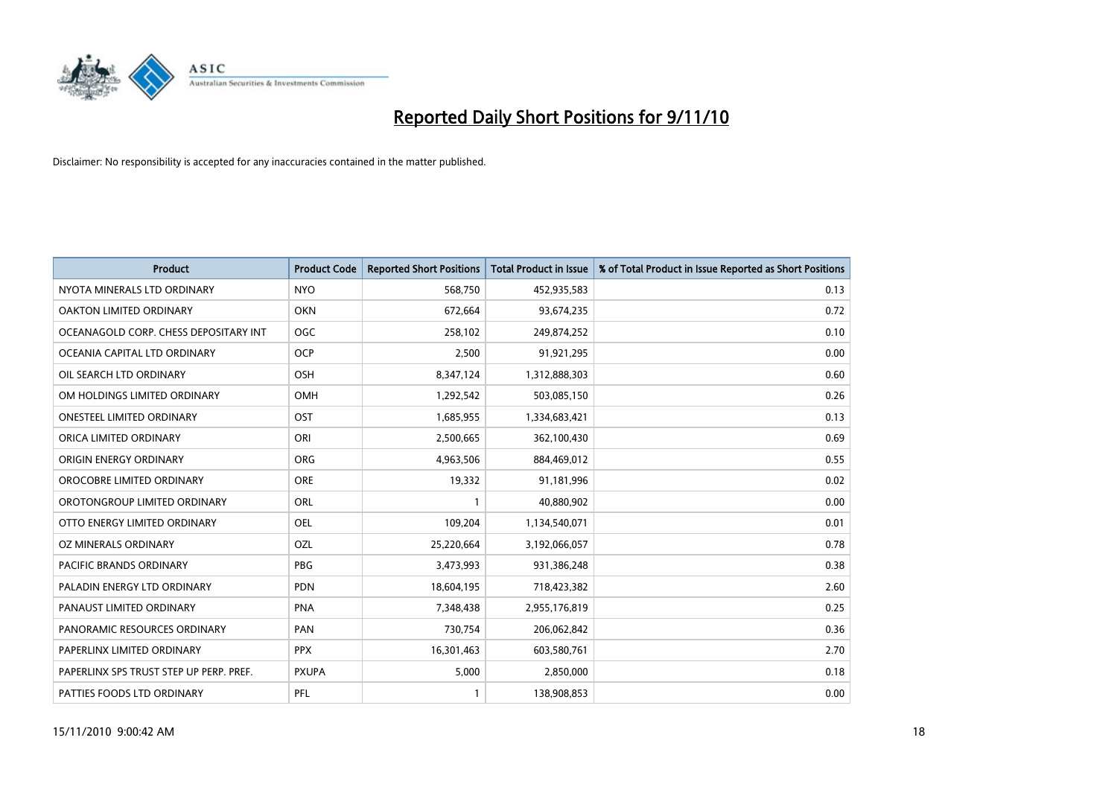

| <b>Product</b>                          | <b>Product Code</b> | <b>Reported Short Positions</b> | Total Product in Issue | % of Total Product in Issue Reported as Short Positions |
|-----------------------------------------|---------------------|---------------------------------|------------------------|---------------------------------------------------------|
| NYOTA MINERALS LTD ORDINARY             | <b>NYO</b>          | 568,750                         | 452,935,583            | 0.13                                                    |
| OAKTON LIMITED ORDINARY                 | <b>OKN</b>          | 672,664                         | 93,674,235             | 0.72                                                    |
| OCEANAGOLD CORP. CHESS DEPOSITARY INT   | <b>OGC</b>          | 258,102                         | 249,874,252            | 0.10                                                    |
| OCEANIA CAPITAL LTD ORDINARY            | <b>OCP</b>          | 2,500                           | 91,921,295             | 0.00                                                    |
| OIL SEARCH LTD ORDINARY                 | OSH                 | 8,347,124                       | 1,312,888,303          | 0.60                                                    |
| OM HOLDINGS LIMITED ORDINARY            | OMH                 | 1,292,542                       | 503,085,150            | 0.26                                                    |
| ONESTEEL LIMITED ORDINARY               | OST                 | 1,685,955                       | 1,334,683,421          | 0.13                                                    |
| ORICA LIMITED ORDINARY                  | ORI                 | 2,500,665                       | 362,100,430            | 0.69                                                    |
| ORIGIN ENERGY ORDINARY                  | <b>ORG</b>          | 4,963,506                       | 884,469,012            | 0.55                                                    |
| OROCOBRE LIMITED ORDINARY               | <b>ORE</b>          | 19,332                          | 91,181,996             | 0.02                                                    |
| OROTONGROUP LIMITED ORDINARY            | ORL                 |                                 | 40,880,902             | 0.00                                                    |
| OTTO ENERGY LIMITED ORDINARY            | <b>OEL</b>          | 109,204                         | 1,134,540,071          | 0.01                                                    |
| OZ MINERALS ORDINARY                    | OZL                 | 25,220,664                      | 3,192,066,057          | 0.78                                                    |
| <b>PACIFIC BRANDS ORDINARY</b>          | PBG                 | 3,473,993                       | 931,386,248            | 0.38                                                    |
| PALADIN ENERGY LTD ORDINARY             | <b>PDN</b>          | 18,604,195                      | 718,423,382            | 2.60                                                    |
| PANAUST LIMITED ORDINARY                | <b>PNA</b>          | 7,348,438                       | 2,955,176,819          | 0.25                                                    |
| PANORAMIC RESOURCES ORDINARY            | PAN                 | 730,754                         | 206,062,842            | 0.36                                                    |
| PAPERLINX LIMITED ORDINARY              | <b>PPX</b>          | 16,301,463                      | 603,580,761            | 2.70                                                    |
| PAPERLINX SPS TRUST STEP UP PERP. PREF. | <b>PXUPA</b>        | 5,000                           | 2,850,000              | 0.18                                                    |
| PATTIES FOODS LTD ORDINARY              | PFL                 |                                 | 138,908,853            | 0.00                                                    |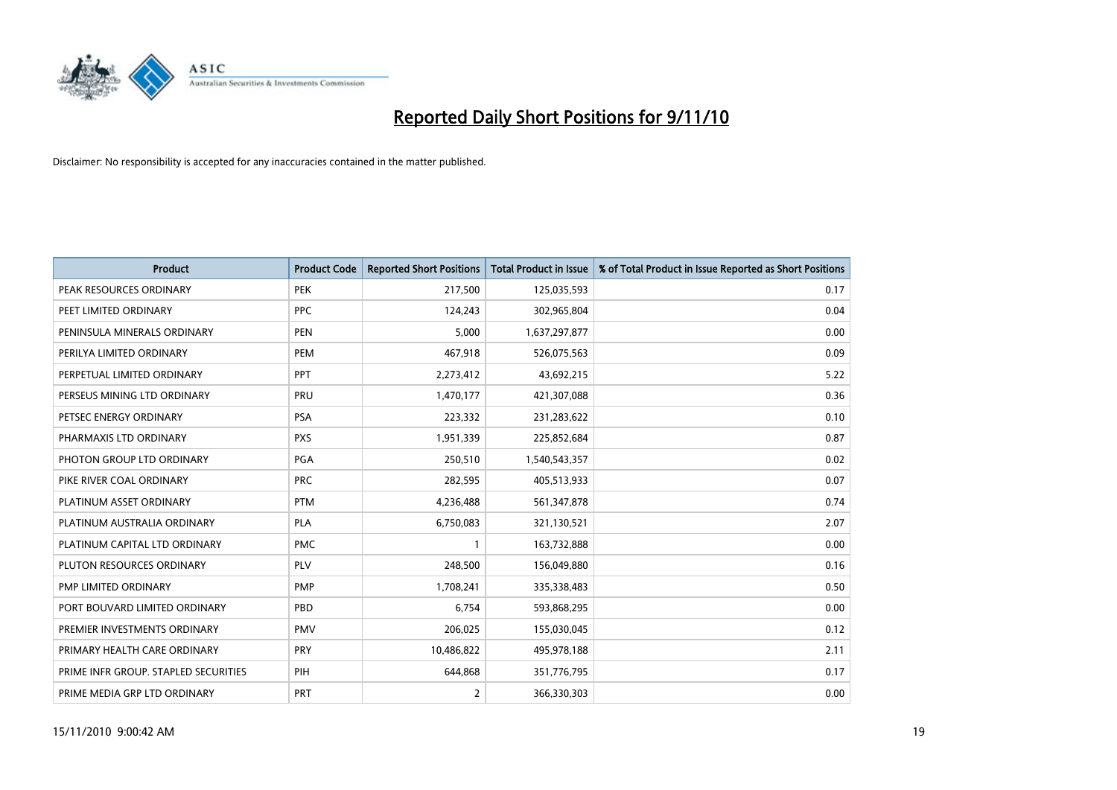

| <b>Product</b>                       | <b>Product Code</b> | <b>Reported Short Positions</b> | <b>Total Product in Issue</b> | % of Total Product in Issue Reported as Short Positions |
|--------------------------------------|---------------------|---------------------------------|-------------------------------|---------------------------------------------------------|
| PEAK RESOURCES ORDINARY              | <b>PEK</b>          | 217,500                         | 125,035,593                   | 0.17                                                    |
| PEET LIMITED ORDINARY                | <b>PPC</b>          | 124,243                         | 302,965,804                   | 0.04                                                    |
| PENINSULA MINERALS ORDINARY          | <b>PEN</b>          | 5,000                           | 1,637,297,877                 | 0.00                                                    |
| PERILYA LIMITED ORDINARY             | PEM                 | 467,918                         | 526,075,563                   | 0.09                                                    |
| PERPETUAL LIMITED ORDINARY           | PPT                 | 2,273,412                       | 43,692,215                    | 5.22                                                    |
| PERSEUS MINING LTD ORDINARY          | PRU                 | 1,470,177                       | 421,307,088                   | 0.36                                                    |
| PETSEC ENERGY ORDINARY               | <b>PSA</b>          | 223,332                         | 231,283,622                   | 0.10                                                    |
| PHARMAXIS LTD ORDINARY               | <b>PXS</b>          | 1,951,339                       | 225,852,684                   | 0.87                                                    |
| PHOTON GROUP LTD ORDINARY            | <b>PGA</b>          | 250,510                         | 1,540,543,357                 | 0.02                                                    |
| PIKE RIVER COAL ORDINARY             | <b>PRC</b>          | 282,595                         | 405,513,933                   | 0.07                                                    |
| PLATINUM ASSET ORDINARY              | <b>PTM</b>          | 4,236,488                       | 561,347,878                   | 0.74                                                    |
| PLATINUM AUSTRALIA ORDINARY          | <b>PLA</b>          | 6,750,083                       | 321,130,521                   | 2.07                                                    |
| PLATINUM CAPITAL LTD ORDINARY        | <b>PMC</b>          |                                 | 163,732,888                   | 0.00                                                    |
| PLUTON RESOURCES ORDINARY            | PLV                 | 248,500                         | 156,049,880                   | 0.16                                                    |
| <b>PMP LIMITED ORDINARY</b>          | <b>PMP</b>          | 1,708,241                       | 335,338,483                   | 0.50                                                    |
| PORT BOUVARD LIMITED ORDINARY        | PBD                 | 6,754                           | 593,868,295                   | 0.00                                                    |
| PREMIER INVESTMENTS ORDINARY         | <b>PMV</b>          | 206,025                         | 155,030,045                   | 0.12                                                    |
| PRIMARY HEALTH CARE ORDINARY         | <b>PRY</b>          | 10,486,822                      | 495,978,188                   | 2.11                                                    |
| PRIME INFR GROUP. STAPLED SECURITIES | PIH                 | 644,868                         | 351,776,795                   | 0.17                                                    |
| PRIME MEDIA GRP LTD ORDINARY         | PRT                 | 2                               | 366,330,303                   | 0.00                                                    |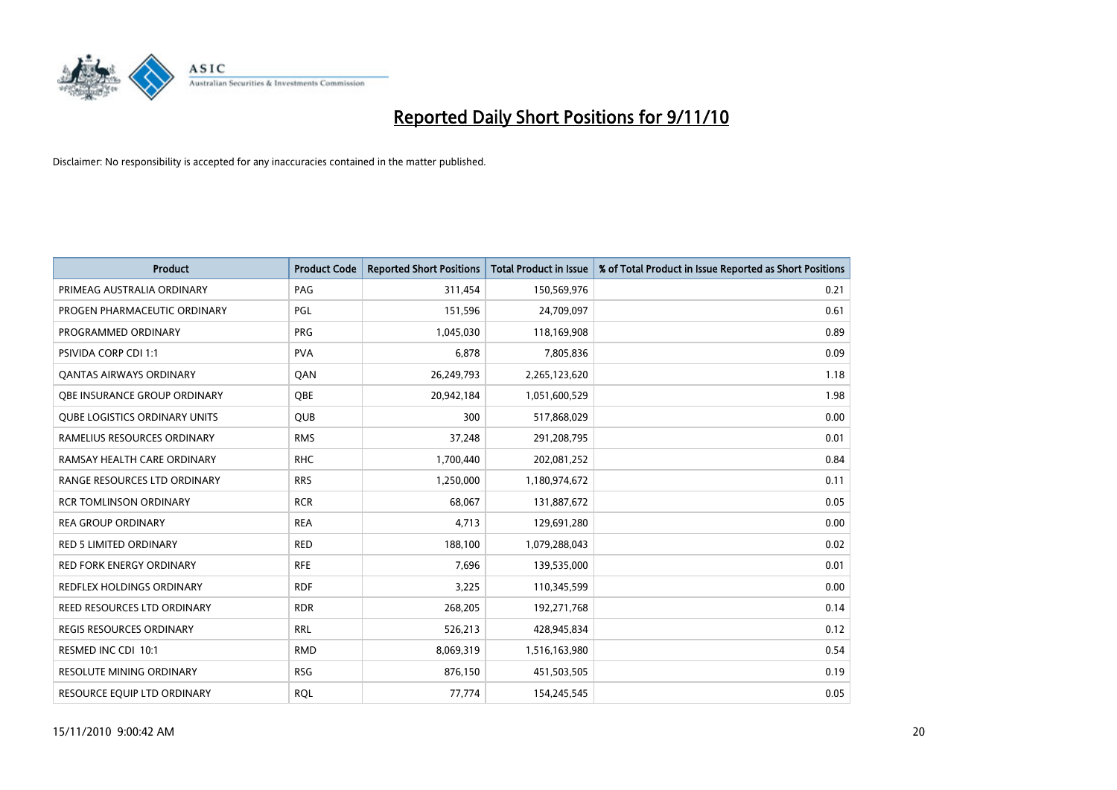

| <b>Product</b>                       | <b>Product Code</b> | <b>Reported Short Positions</b> | Total Product in Issue | % of Total Product in Issue Reported as Short Positions |
|--------------------------------------|---------------------|---------------------------------|------------------------|---------------------------------------------------------|
| PRIMEAG AUSTRALIA ORDINARY           | PAG                 | 311,454                         | 150,569,976            | 0.21                                                    |
| PROGEN PHARMACEUTIC ORDINARY         | PGL                 | 151,596                         | 24,709,097             | 0.61                                                    |
| PROGRAMMED ORDINARY                  | <b>PRG</b>          | 1,045,030                       | 118,169,908            | 0.89                                                    |
| PSIVIDA CORP CDI 1:1                 | <b>PVA</b>          | 6,878                           | 7,805,836              | 0.09                                                    |
| OANTAS AIRWAYS ORDINARY              | QAN                 | 26,249,793                      | 2,265,123,620          | 1.18                                                    |
| OBE INSURANCE GROUP ORDINARY         | OBE                 | 20,942,184                      | 1,051,600,529          | 1.98                                                    |
| <b>QUBE LOGISTICS ORDINARY UNITS</b> | <b>OUB</b>          | 300                             | 517,868,029            | 0.00                                                    |
| RAMELIUS RESOURCES ORDINARY          | <b>RMS</b>          | 37,248                          | 291,208,795            | 0.01                                                    |
| RAMSAY HEALTH CARE ORDINARY          | <b>RHC</b>          | 1,700,440                       | 202,081,252            | 0.84                                                    |
| RANGE RESOURCES LTD ORDINARY         | <b>RRS</b>          | 1,250,000                       | 1,180,974,672          | 0.11                                                    |
| <b>RCR TOMLINSON ORDINARY</b>        | <b>RCR</b>          | 68,067                          | 131,887,672            | 0.05                                                    |
| <b>REA GROUP ORDINARY</b>            | <b>REA</b>          | 4,713                           | 129,691,280            | 0.00                                                    |
| <b>RED 5 LIMITED ORDINARY</b>        | <b>RED</b>          | 188,100                         | 1,079,288,043          | 0.02                                                    |
| <b>RED FORK ENERGY ORDINARY</b>      | <b>RFE</b>          | 7,696                           | 139,535,000            | 0.01                                                    |
| <b>REDFLEX HOLDINGS ORDINARY</b>     | <b>RDF</b>          | 3,225                           | 110,345,599            | 0.00                                                    |
| REED RESOURCES LTD ORDINARY          | <b>RDR</b>          | 268,205                         | 192,271,768            | 0.14                                                    |
| <b>REGIS RESOURCES ORDINARY</b>      | <b>RRL</b>          | 526,213                         | 428,945,834            | 0.12                                                    |
| RESMED INC CDI 10:1                  | <b>RMD</b>          | 8,069,319                       | 1,516,163,980          | 0.54                                                    |
| <b>RESOLUTE MINING ORDINARY</b>      | <b>RSG</b>          | 876,150                         | 451,503,505            | 0.19                                                    |
| RESOURCE EQUIP LTD ORDINARY          | <b>ROL</b>          | 77,774                          | 154,245,545            | 0.05                                                    |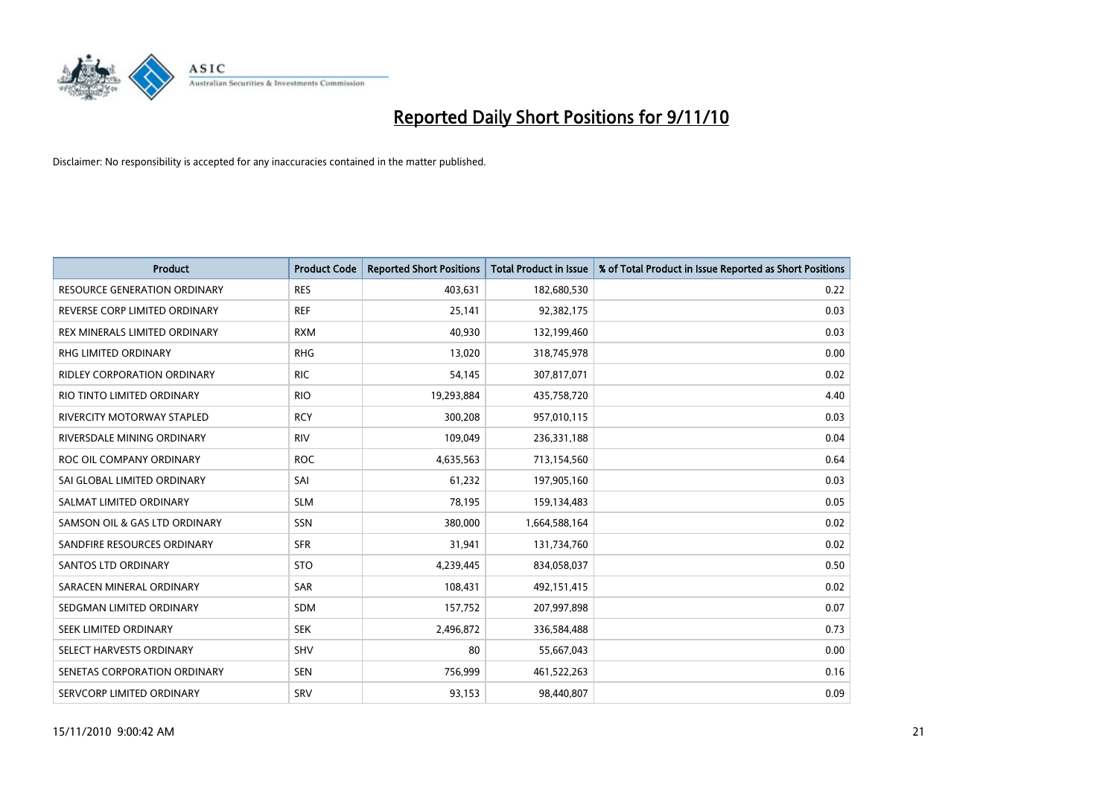

| <b>Product</b>                      | <b>Product Code</b> | <b>Reported Short Positions</b> | Total Product in Issue | % of Total Product in Issue Reported as Short Positions |
|-------------------------------------|---------------------|---------------------------------|------------------------|---------------------------------------------------------|
| <b>RESOURCE GENERATION ORDINARY</b> | <b>RES</b>          | 403,631                         | 182,680,530            | 0.22                                                    |
| REVERSE CORP LIMITED ORDINARY       | <b>REF</b>          | 25,141                          | 92,382,175             | 0.03                                                    |
| REX MINERALS LIMITED ORDINARY       | <b>RXM</b>          | 40,930                          | 132,199,460            | 0.03                                                    |
| RHG LIMITED ORDINARY                | <b>RHG</b>          | 13,020                          | 318,745,978            | 0.00                                                    |
| RIDLEY CORPORATION ORDINARY         | <b>RIC</b>          | 54,145                          | 307,817,071            | 0.02                                                    |
| RIO TINTO LIMITED ORDINARY          | <b>RIO</b>          | 19,293,884                      | 435,758,720            | 4.40                                                    |
| <b>RIVERCITY MOTORWAY STAPLED</b>   | <b>RCY</b>          | 300.208                         | 957,010,115            | 0.03                                                    |
| RIVERSDALE MINING ORDINARY          | <b>RIV</b>          | 109,049                         | 236,331,188            | 0.04                                                    |
| ROC OIL COMPANY ORDINARY            | <b>ROC</b>          | 4,635,563                       | 713,154,560            | 0.64                                                    |
| SAI GLOBAL LIMITED ORDINARY         | SAI                 | 61,232                          | 197,905,160            | 0.03                                                    |
| SALMAT LIMITED ORDINARY             | <b>SLM</b>          | 78,195                          | 159,134,483            | 0.05                                                    |
| SAMSON OIL & GAS LTD ORDINARY       | SSN                 | 380,000                         | 1,664,588,164          | 0.02                                                    |
| SANDFIRE RESOURCES ORDINARY         | <b>SFR</b>          | 31,941                          | 131,734,760            | 0.02                                                    |
| <b>SANTOS LTD ORDINARY</b>          | <b>STO</b>          | 4,239,445                       | 834,058,037            | 0.50                                                    |
| SARACEN MINERAL ORDINARY            | SAR                 | 108,431                         | 492,151,415            | 0.02                                                    |
| SEDGMAN LIMITED ORDINARY            | <b>SDM</b>          | 157,752                         | 207,997,898            | 0.07                                                    |
| <b>SEEK LIMITED ORDINARY</b>        | <b>SEK</b>          | 2,496,872                       | 336,584,488            | 0.73                                                    |
| SELECT HARVESTS ORDINARY            | SHV                 | 80                              | 55,667,043             | 0.00                                                    |
| SENETAS CORPORATION ORDINARY        | <b>SEN</b>          | 756,999                         | 461,522,263            | 0.16                                                    |
| SERVCORP LIMITED ORDINARY           | SRV                 | 93,153                          | 98,440,807             | 0.09                                                    |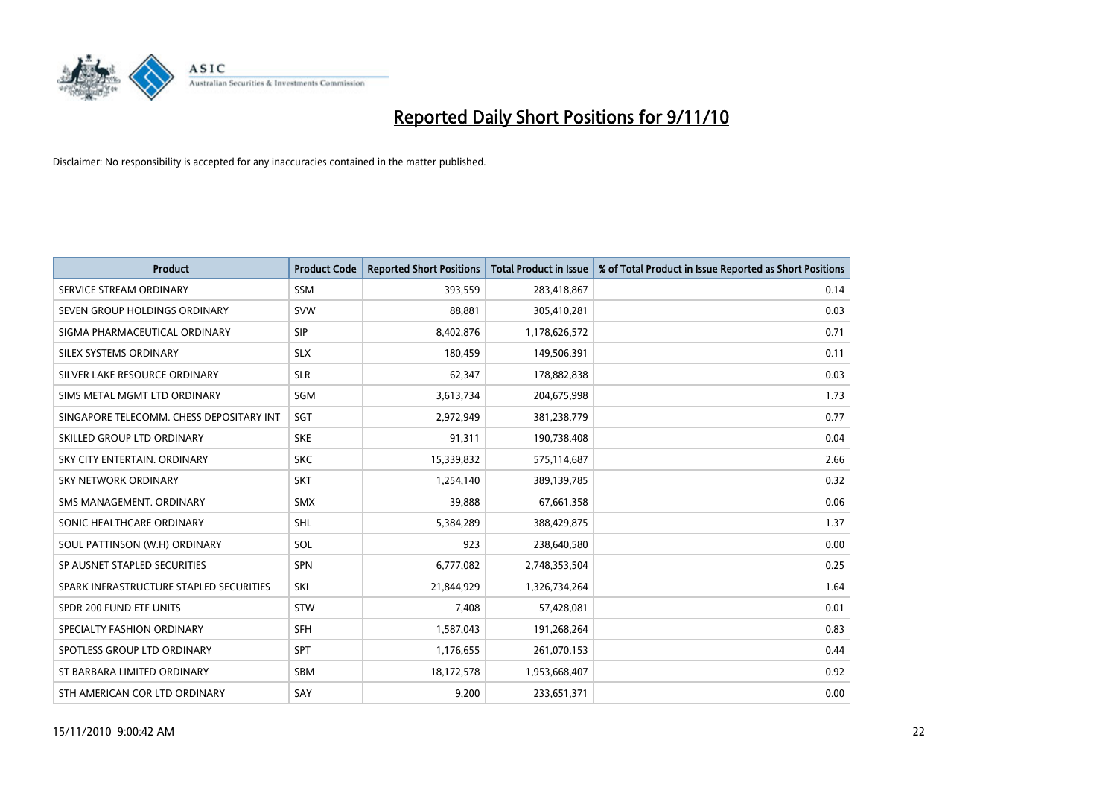

| <b>Product</b>                           | <b>Product Code</b> | <b>Reported Short Positions</b> | <b>Total Product in Issue</b> | % of Total Product in Issue Reported as Short Positions |
|------------------------------------------|---------------------|---------------------------------|-------------------------------|---------------------------------------------------------|
| SERVICE STREAM ORDINARY                  | <b>SSM</b>          | 393,559                         | 283,418,867                   | 0.14                                                    |
| SEVEN GROUP HOLDINGS ORDINARY            | <b>SVW</b>          | 88,881                          | 305,410,281                   | 0.03                                                    |
| SIGMA PHARMACEUTICAL ORDINARY            | SIP                 | 8,402,876                       | 1,178,626,572                 | 0.71                                                    |
| SILEX SYSTEMS ORDINARY                   | <b>SLX</b>          | 180,459                         | 149,506,391                   | 0.11                                                    |
| SILVER LAKE RESOURCE ORDINARY            | <b>SLR</b>          | 62,347                          | 178,882,838                   | 0.03                                                    |
| SIMS METAL MGMT LTD ORDINARY             | SGM                 | 3,613,734                       | 204,675,998                   | 1.73                                                    |
| SINGAPORE TELECOMM. CHESS DEPOSITARY INT | SGT                 | 2,972,949                       | 381,238,779                   | 0.77                                                    |
| SKILLED GROUP LTD ORDINARY               | <b>SKE</b>          | 91,311                          | 190,738,408                   | 0.04                                                    |
| SKY CITY ENTERTAIN, ORDINARY             | <b>SKC</b>          | 15,339,832                      | 575,114,687                   | 2.66                                                    |
| <b>SKY NETWORK ORDINARY</b>              | <b>SKT</b>          | 1,254,140                       | 389,139,785                   | 0.32                                                    |
| SMS MANAGEMENT. ORDINARY                 | <b>SMX</b>          | 39,888                          | 67,661,358                    | 0.06                                                    |
| SONIC HEALTHCARE ORDINARY                | <b>SHL</b>          | 5,384,289                       | 388,429,875                   | 1.37                                                    |
| SOUL PATTINSON (W.H) ORDINARY            | SOL                 | 923                             | 238,640,580                   | 0.00                                                    |
| SP AUSNET STAPLED SECURITIES             | SPN                 | 6,777,082                       | 2,748,353,504                 | 0.25                                                    |
| SPARK INFRASTRUCTURE STAPLED SECURITIES  | SKI                 | 21,844,929                      | 1,326,734,264                 | 1.64                                                    |
| SPDR 200 FUND ETF UNITS                  | <b>STW</b>          | 7,408                           | 57,428,081                    | 0.01                                                    |
| SPECIALTY FASHION ORDINARY               | <b>SFH</b>          | 1,587,043                       | 191,268,264                   | 0.83                                                    |
| SPOTLESS GROUP LTD ORDINARY              | <b>SPT</b>          | 1,176,655                       | 261,070,153                   | 0.44                                                    |
| ST BARBARA LIMITED ORDINARY              | SBM                 | 18,172,578                      | 1,953,668,407                 | 0.92                                                    |
| STH AMERICAN COR LTD ORDINARY            | SAY                 | 9,200                           | 233,651,371                   | 0.00                                                    |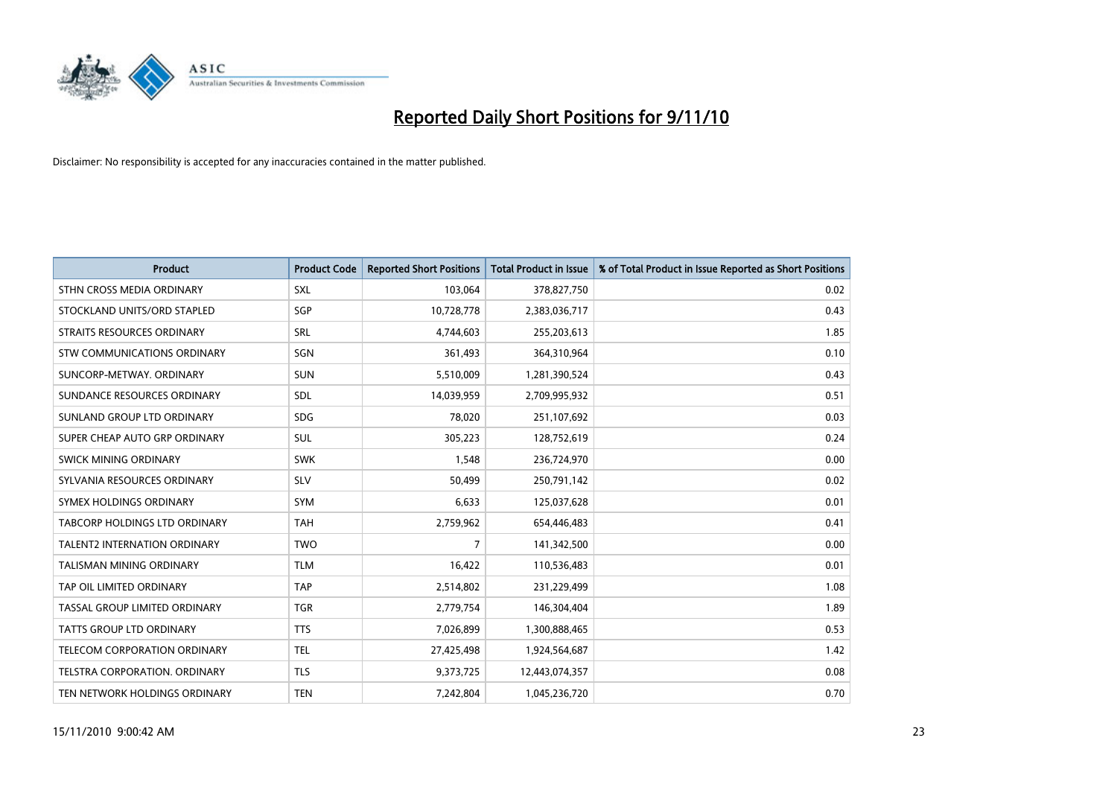

| <b>Product</b>                  | <b>Product Code</b> | <b>Reported Short Positions</b> | Total Product in Issue | % of Total Product in Issue Reported as Short Positions |
|---------------------------------|---------------------|---------------------------------|------------------------|---------------------------------------------------------|
| STHN CROSS MEDIA ORDINARY       | <b>SXL</b>          | 103,064                         | 378,827,750            | 0.02                                                    |
| STOCKLAND UNITS/ORD STAPLED     | SGP                 | 10,728,778                      | 2,383,036,717          | 0.43                                                    |
| STRAITS RESOURCES ORDINARY      | SRL                 | 4,744,603                       | 255,203,613            | 1.85                                                    |
| STW COMMUNICATIONS ORDINARY     | SGN                 | 361,493                         | 364,310,964            | 0.10                                                    |
| SUNCORP-METWAY, ORDINARY        | <b>SUN</b>          | 5,510,009                       | 1,281,390,524          | 0.43                                                    |
| SUNDANCE RESOURCES ORDINARY     | <b>SDL</b>          | 14,039,959                      | 2,709,995,932          | 0.51                                                    |
| SUNLAND GROUP LTD ORDINARY      | <b>SDG</b>          | 78,020                          | 251,107,692            | 0.03                                                    |
| SUPER CHEAP AUTO GRP ORDINARY   | <b>SUL</b>          | 305,223                         | 128,752,619            | 0.24                                                    |
| <b>SWICK MINING ORDINARY</b>    | <b>SWK</b>          | 1,548                           | 236,724,970            | 0.00                                                    |
| SYLVANIA RESOURCES ORDINARY     | <b>SLV</b>          | 50,499                          | 250,791,142            | 0.02                                                    |
| SYMEX HOLDINGS ORDINARY         | <b>SYM</b>          | 6,633                           | 125,037,628            | 0.01                                                    |
| TABCORP HOLDINGS LTD ORDINARY   | <b>TAH</b>          | 2,759,962                       | 654,446,483            | 0.41                                                    |
| TALENT2 INTERNATION ORDINARY    | <b>TWO</b>          | $\overline{7}$                  | 141,342,500            | 0.00                                                    |
| <b>TALISMAN MINING ORDINARY</b> | <b>TLM</b>          | 16,422                          | 110,536,483            | 0.01                                                    |
| TAP OIL LIMITED ORDINARY        | <b>TAP</b>          | 2,514,802                       | 231,229,499            | 1.08                                                    |
| TASSAL GROUP LIMITED ORDINARY   | <b>TGR</b>          | 2,779,754                       | 146,304,404            | 1.89                                                    |
| TATTS GROUP LTD ORDINARY        | <b>TTS</b>          | 7,026,899                       | 1,300,888,465          | 0.53                                                    |
| TELECOM CORPORATION ORDINARY    | <b>TEL</b>          | 27,425,498                      | 1,924,564,687          | 1.42                                                    |
| TELSTRA CORPORATION, ORDINARY   | <b>TLS</b>          | 9,373,725                       | 12,443,074,357         | 0.08                                                    |
| TEN NETWORK HOLDINGS ORDINARY   | <b>TEN</b>          | 7,242,804                       | 1,045,236,720          | 0.70                                                    |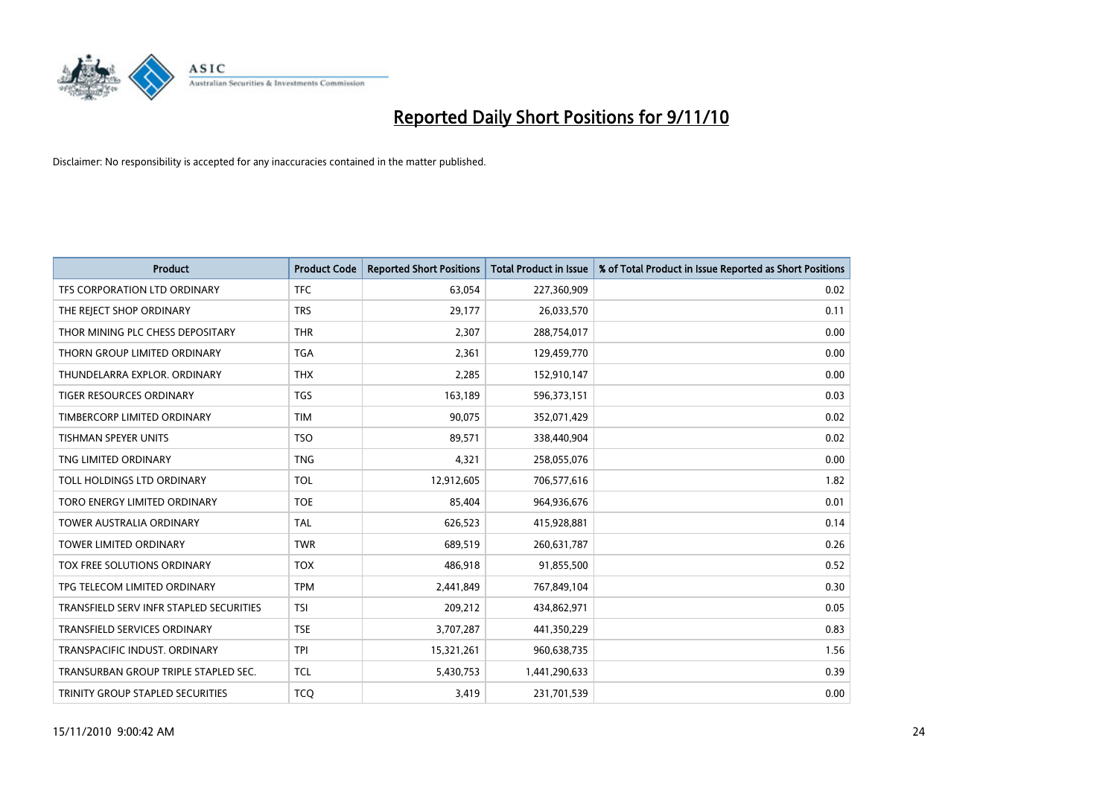

| <b>Product</b>                          | <b>Product Code</b> | <b>Reported Short Positions</b> | Total Product in Issue | % of Total Product in Issue Reported as Short Positions |
|-----------------------------------------|---------------------|---------------------------------|------------------------|---------------------------------------------------------|
| TFS CORPORATION LTD ORDINARY            | <b>TFC</b>          | 63,054                          | 227,360,909            | 0.02                                                    |
| THE REJECT SHOP ORDINARY                | <b>TRS</b>          | 29,177                          | 26,033,570             | 0.11                                                    |
| THOR MINING PLC CHESS DEPOSITARY        | <b>THR</b>          | 2.307                           | 288,754,017            | 0.00                                                    |
| THORN GROUP LIMITED ORDINARY            | <b>TGA</b>          | 2,361                           | 129,459,770            | 0.00                                                    |
| THUNDELARRA EXPLOR, ORDINARY            | <b>THX</b>          | 2,285                           | 152,910,147            | 0.00                                                    |
| <b>TIGER RESOURCES ORDINARY</b>         | <b>TGS</b>          | 163,189                         | 596,373,151            | 0.03                                                    |
| TIMBERCORP LIMITED ORDINARY             | <b>TIM</b>          | 90,075                          | 352,071,429            | 0.02                                                    |
| TISHMAN SPEYER UNITS                    | <b>TSO</b>          | 89,571                          | 338,440,904            | 0.02                                                    |
| TNG LIMITED ORDINARY                    | <b>TNG</b>          | 4,321                           | 258,055,076            | 0.00                                                    |
| TOLL HOLDINGS LTD ORDINARY              | <b>TOL</b>          | 12,912,605                      | 706,577,616            | 1.82                                                    |
| TORO ENERGY LIMITED ORDINARY            | <b>TOE</b>          | 85,404                          | 964,936,676            | 0.01                                                    |
| <b>TOWER AUSTRALIA ORDINARY</b>         | <b>TAL</b>          | 626,523                         | 415,928,881            | 0.14                                                    |
| TOWER LIMITED ORDINARY                  | <b>TWR</b>          | 689,519                         | 260,631,787            | 0.26                                                    |
| TOX FREE SOLUTIONS ORDINARY             | <b>TOX</b>          | 486,918                         | 91,855,500             | 0.52                                                    |
| TPG TELECOM LIMITED ORDINARY            | <b>TPM</b>          | 2,441,849                       | 767,849,104            | 0.30                                                    |
| TRANSFIELD SERV INFR STAPLED SECURITIES | <b>TSI</b>          | 209,212                         | 434,862,971            | 0.05                                                    |
| TRANSFIELD SERVICES ORDINARY            | <b>TSE</b>          | 3,707,287                       | 441,350,229            | 0.83                                                    |
| TRANSPACIFIC INDUST. ORDINARY           | <b>TPI</b>          | 15,321,261                      | 960,638,735            | 1.56                                                    |
| TRANSURBAN GROUP TRIPLE STAPLED SEC.    | <b>TCL</b>          | 5,430,753                       | 1,441,290,633          | 0.39                                                    |
| TRINITY GROUP STAPLED SECURITIES        | <b>TCO</b>          | 3,419                           | 231,701,539            | 0.00                                                    |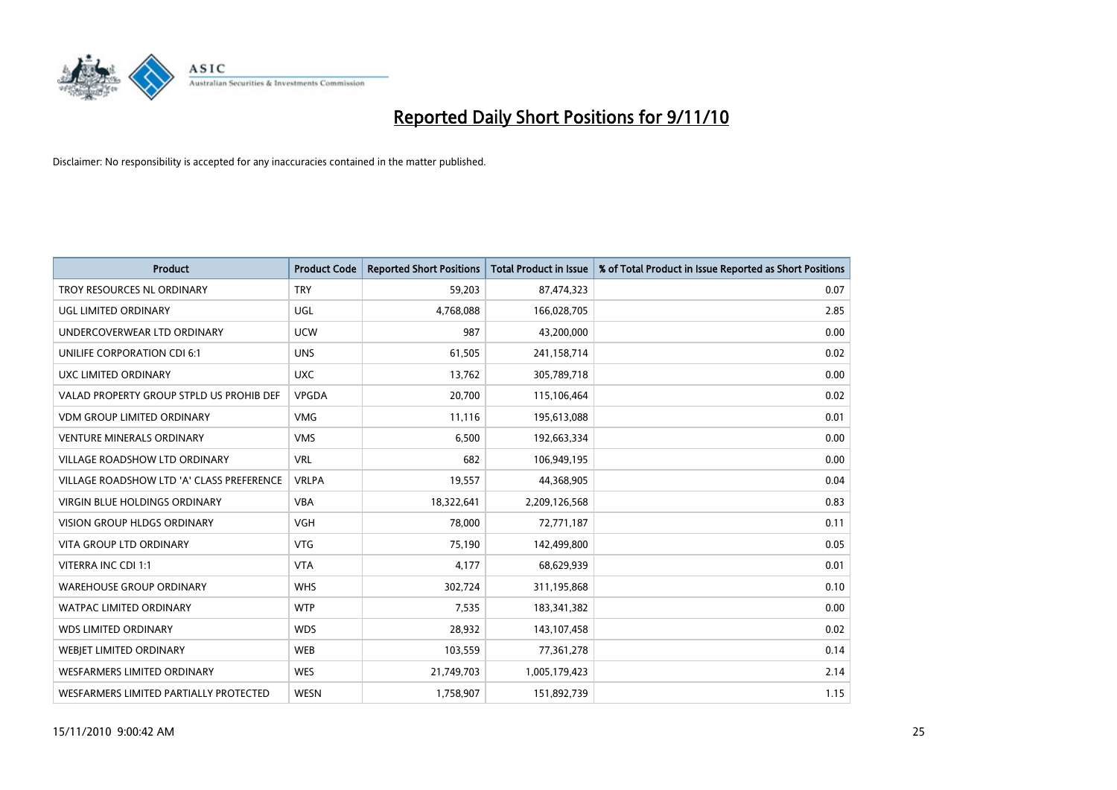

| <b>Product</b>                            | <b>Product Code</b> | <b>Reported Short Positions</b> | <b>Total Product in Issue</b> | % of Total Product in Issue Reported as Short Positions |
|-------------------------------------------|---------------------|---------------------------------|-------------------------------|---------------------------------------------------------|
| <b>TROY RESOURCES NL ORDINARY</b>         | <b>TRY</b>          | 59,203                          | 87,474,323                    | 0.07                                                    |
| UGL LIMITED ORDINARY                      | UGL                 | 4,768,088                       | 166,028,705                   | 2.85                                                    |
| UNDERCOVERWEAR LTD ORDINARY               | <b>UCW</b>          | 987                             | 43,200,000                    | 0.00                                                    |
| UNILIFE CORPORATION CDI 6:1               | <b>UNS</b>          | 61,505                          | 241,158,714                   | 0.02                                                    |
| UXC LIMITED ORDINARY                      | <b>UXC</b>          | 13,762                          | 305,789,718                   | 0.00                                                    |
| VALAD PROPERTY GROUP STPLD US PROHIB DEF  | <b>VPGDA</b>        | 20,700                          | 115,106,464                   | 0.02                                                    |
| <b>VDM GROUP LIMITED ORDINARY</b>         | <b>VMG</b>          | 11,116                          | 195,613,088                   | 0.01                                                    |
| <b>VENTURE MINERALS ORDINARY</b>          | <b>VMS</b>          | 6,500                           | 192,663,334                   | 0.00                                                    |
| VILLAGE ROADSHOW LTD ORDINARY             | <b>VRL</b>          | 682                             | 106,949,195                   | 0.00                                                    |
| VILLAGE ROADSHOW LTD 'A' CLASS PREFERENCE | <b>VRLPA</b>        | 19,557                          | 44,368,905                    | 0.04                                                    |
| <b>VIRGIN BLUE HOLDINGS ORDINARY</b>      | <b>VBA</b>          | 18,322,641                      | 2,209,126,568                 | 0.83                                                    |
| <b>VISION GROUP HLDGS ORDINARY</b>        | <b>VGH</b>          | 78,000                          | 72,771,187                    | 0.11                                                    |
| <b>VITA GROUP LTD ORDINARY</b>            | <b>VTG</b>          | 75,190                          | 142,499,800                   | 0.05                                                    |
| VITERRA INC CDI 1:1                       | <b>VTA</b>          | 4,177                           | 68,629,939                    | 0.01                                                    |
| <b>WAREHOUSE GROUP ORDINARY</b>           | <b>WHS</b>          | 302,724                         | 311,195,868                   | 0.10                                                    |
| <b>WATPAC LIMITED ORDINARY</b>            | <b>WTP</b>          | 7,535                           | 183,341,382                   | 0.00                                                    |
| <b>WDS LIMITED ORDINARY</b>               | <b>WDS</b>          | 28,932                          | 143,107,458                   | 0.02                                                    |
| WEBJET LIMITED ORDINARY                   | <b>WEB</b>          | 103,559                         | 77,361,278                    | 0.14                                                    |
| <b>WESFARMERS LIMITED ORDINARY</b>        | <b>WES</b>          | 21,749,703                      | 1,005,179,423                 | 2.14                                                    |
| WESFARMERS LIMITED PARTIALLY PROTECTED    | <b>WESN</b>         | 1,758,907                       | 151,892,739                   | 1.15                                                    |